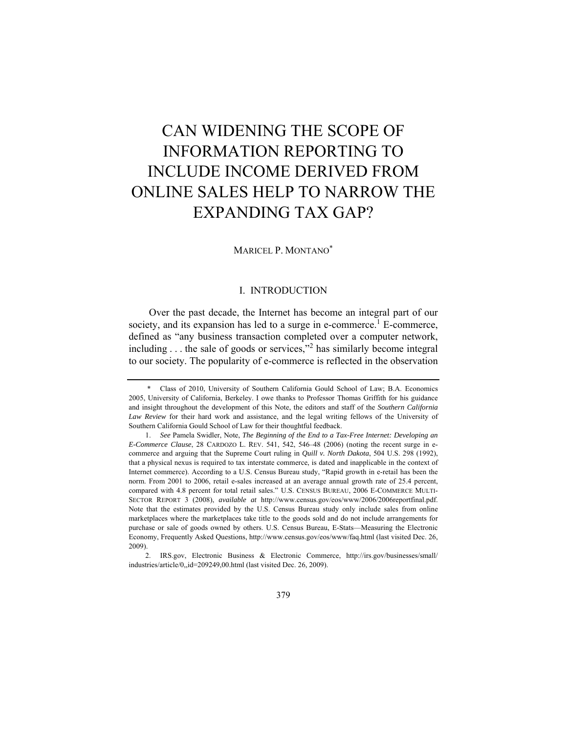# CAN WIDENING THE SCOPE OF INFORMATION REPORTING TO INCLUDE INCOME DERIVED FROM ONLINE SALES HELP TO NARROW THE EXPANDING TAX GAP?

### MARICEL P. MONTANO\*

# I. INTRODUCTION

Over the past decade, the Internet has become an integral part of our society, and its expansion has led to a surge in e-commerce.<sup>1</sup> E-commerce, defined as "any business transaction completed over a computer network, including . . . the sale of goods or services,"<sup>2</sup> has similarly become integral to our society. The popularity of e-commerce is reflected in the observation

 2. IRS.gov, Electronic Business & Electronic Commerce, http://irs.gov/businesses/small/ industries/article/0,,id=209249,00.html (last visited Dec. 26, 2009).

 <sup>\*</sup> Class of 2010, University of Southern California Gould School of Law; B.A. Economics 2005, University of California, Berkeley. I owe thanks to Professor Thomas Griffith for his guidance and insight throughout the development of this Note, the editors and staff of the *Southern California Law Review* for their hard work and assistance, and the legal writing fellows of the University of Southern California Gould School of Law for their thoughtful feedback.

 <sup>1.</sup> *See* Pamela Swidler, Note, *The Beginning of the End to a Tax-Free Internet: Developing an E-Commerce Clause*, 28 CARDOZO L. REV. 541, 542, 546–48 (2006) (noting the recent surge in ecommerce and arguing that the Supreme Court ruling in *Quill v. North Dakota*, 504 U.S. 298 (1992), that a physical nexus is required to tax interstate commerce, is dated and inapplicable in the context of Internet commerce). According to a U.S. Census Bureau study, "Rapid growth in e-retail has been the norm. From 2001 to 2006, retail e-sales increased at an average annual growth rate of 25.4 percent, compared with 4.8 percent for total retail sales." U.S. CENSUS BUREAU, 2006 E-COMMERCE MULTI-SECTOR REPORT 3 (2008), *available at* http://www.census.gov/eos/www/2006/2006reportfinal.pdf. Note that the estimates provided by the U.S. Census Bureau study only include sales from online marketplaces where the marketplaces take title to the goods sold and do not include arrangements for purchase or sale of goods owned by others. U.S. Census Bureau, E-Stats—Measuring the Electronic Economy, Frequently Asked Questions, http://www.census.gov/eos/www/faq.html (last visited Dec. 26, 2009).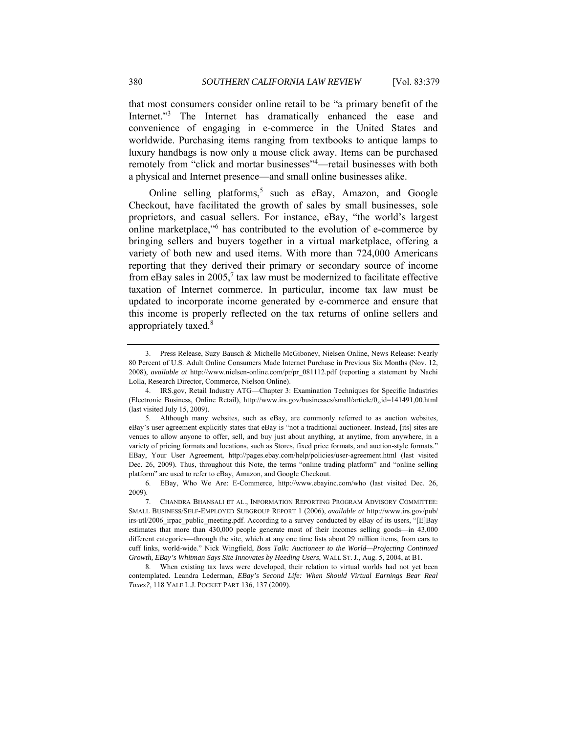that most consumers consider online retail to be "a primary benefit of the Internet."<sup>3</sup> The Internet has dramatically enhanced the ease and convenience of engaging in e-commerce in the United States and worldwide. Purchasing items ranging from textbooks to antique lamps to luxury handbags is now only a mouse click away. Items can be purchased remotely from "click and mortar businesses"<sup>4</sup>—retail businesses with both a physical and Internet presence—and small online businesses alike.

Online selling platforms,<sup>5</sup> such as eBay, Amazon, and Google Checkout, have facilitated the growth of sales by small businesses, sole proprietors, and casual sellers. For instance, eBay, "the world's largest online marketplace,"<sup>6</sup> has contributed to the evolution of e-commerce by bringing sellers and buyers together in a virtual marketplace, offering a variety of both new and used items. With more than 724,000 Americans reporting that they derived their primary or secondary source of income from eBay sales in 2005,<sup>7</sup> tax law must be modernized to facilitate effective taxation of Internet commerce. In particular, income tax law must be updated to incorporate income generated by e-commerce and ensure that this income is properly reflected on the tax returns of online sellers and appropriately taxed.<sup>8</sup>

 <sup>3.</sup> Press Release, Suzy Bausch & Michelle McGiboney, Nielsen Online, News Release: Nearly 80 Percent of U.S. Adult Online Consumers Made Internet Purchase in Previous Six Months (Nov. 12, 2008), *available at* http://www.nielsen-online.com/pr/pr\_081112.pdf (reporting a statement by Nachi Lolla, Research Director, Commerce, Nielson Online).

 <sup>4.</sup> IRS.gov, Retail Industry ATG—Chapter 3: Examination Techniques for Specific Industries (Electronic Business, Online Retail), http://www.irs.gov/businesses/small/article/0,,id=141491,00.html (last visited July 15, 2009).

 <sup>5.</sup> Although many websites, such as eBay, are commonly referred to as auction websites, eBay's user agreement explicitly states that eBay is "not a traditional auctioneer. Instead, [its] sites are venues to allow anyone to offer, sell, and buy just about anything, at anytime, from anywhere, in a variety of pricing formats and locations, such as Stores, fixed price formats, and auction-style formats." EBay, Your User Agreement, http://pages.ebay.com/help/policies/user-agreement.html (last visited Dec. 26, 2009). Thus, throughout this Note, the terms "online trading platform" and "online selling platform" are used to refer to eBay, Amazon, and Google Checkout.

 <sup>6.</sup> EBay, Who We Are: E-Commerce, http://www.ebayinc.com/who (last visited Dec. 26, 2009).

 <sup>7.</sup> CHANDRA BHANSALI ET AL., INFORMATION REPORTING PROGRAM ADVISORY COMMITTEE: SMALL BUSINESS/SELF-EMPLOYED SUBGROUP REPORT 1 (2006), *available at* http://www.irs.gov/pub/ irs-utl/2006\_irpac\_public\_meeting.pdf. According to a survey conducted by eBay of its users, "[E]Bay estimates that more than 430,000 people generate most of their incomes selling goods—in 43,000 different categories—through the site, which at any one time lists about 29 million items, from cars to cuff links, world-wide." Nick Wingfield, *Boss Talk: Auctioneer to the World—Projecting Continued Growth, EBay's Whitman Says Site Innovates by Heeding Users*, WALL ST. J., Aug. 5, 2004, at B1.

 <sup>8.</sup> When existing tax laws were developed, their relation to virtual worlds had not yet been contemplated. Leandra Lederman, *EBay's Second Life: When Should Virtual Earnings Bear Real Taxes?*, 118 YALE L.J. POCKET PART 136, 137 (2009).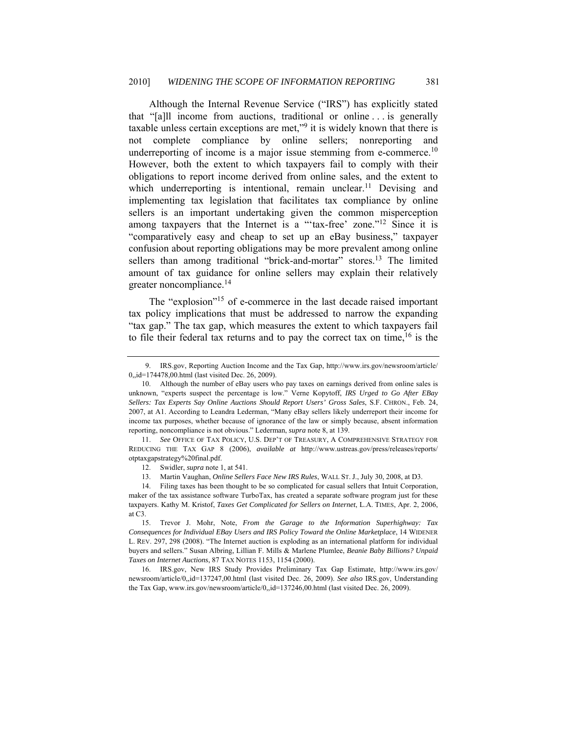Although the Internal Revenue Service ("IRS") has explicitly stated that "[a]ll income from auctions, traditional or online . . . is generally taxable unless certain exceptions are met,"<sup>9</sup> it is widely known that there is not complete compliance by online sellers; nonreporting and underreporting of income is a major issue stemming from e-commerce.<sup>10</sup> However, both the extent to which taxpayers fail to comply with their obligations to report income derived from online sales, and the extent to which underreporting is intentional, remain unclear.<sup>11</sup> Devising and implementing tax legislation that facilitates tax compliance by online sellers is an important undertaking given the common misperception among taxpayers that the Internet is a "'tax-free' zone."<sup>12</sup> Since it is "comparatively easy and cheap to set up an eBay business," taxpayer confusion about reporting obligations may be more prevalent among online sellers than among traditional "brick-and-mortar" stores.<sup>13</sup> The limited amount of tax guidance for online sellers may explain their relatively greater noncompliance.<sup>14</sup>

The "explosion"<sup>15</sup> of e-commerce in the last decade raised important tax policy implications that must be addressed to narrow the expanding "tax gap." The tax gap, which measures the extent to which taxpayers fail to file their federal tax returns and to pay the correct tax on time,  $16$  is the

 <sup>9.</sup> IRS.gov, Reporting Auction Income and the Tax Gap, http://www.irs.gov/newsroom/article/ 0,,id=174478,00.html (last visited Dec. 26, 2009).

 <sup>10.</sup> Although the number of eBay users who pay taxes on earnings derived from online sales is unknown, "experts suspect the percentage is low." Verne Kopytoff, *IRS Urged to Go After EBay Sellers: Tax Experts Say Online Auctions Should Report Users' Gross Sales*, S.F. CHRON., Feb. 24, 2007, at A1. According to Leandra Lederman, "Many eBay sellers likely underreport their income for income tax purposes, whether because of ignorance of the law or simply because, absent information reporting, noncompliance is not obvious." Lederman, *supra* note 8, at 139.

 <sup>11.</sup> *See* OFFICE OF TAX POLICY, U.S. DEP'T OF TREASURY, A COMPREHENSIVE STRATEGY FOR REDUCING THE TAX GAP 8 (2006), *available at* http://www.ustreas.gov/press/releases/reports/ otptaxgapstrategy%20final.pdf.

 <sup>12.</sup> Swidler, *supra* note 1, at 541.

 <sup>13.</sup> Martin Vaughan, *Online Sellers Face New IRS Rules*, WALL ST. J., July 30, 2008, at D3.

 <sup>14.</sup> Filing taxes has been thought to be so complicated for casual sellers that Intuit Corporation, maker of the tax assistance software TurboTax, has created a separate software program just for these taxpayers. Kathy M. Kristof, *Taxes Get Complicated for Sellers on Internet*, L.A. TIMES, Apr. 2, 2006, at C3.

 <sup>15.</sup> Trevor J. Mohr, Note, *From the Garage to the Information Superhighway: Tax Consequences for Individual EBay Users and IRS Policy Toward the Online Marketplace*, 14 WIDENER L. REV. 297, 298 (2008). "The Internet auction is exploding as an international platform for individual buyers and sellers." Susan Albring, Lillian F. Mills & Marlene Plumlee, *Beanie Baby Billions? Unpaid Taxes on Internet Auctions*, 87 TAX NOTES 1153, 1154 (2000).

 <sup>16.</sup> IRS.gov, New IRS Study Provides Preliminary Tax Gap Estimate, http://www.irs.gov/ newsroom/article/0,,id=137247,00.html (last visited Dec. 26, 2009). *See also* IRS.gov, Understanding the Tax Gap, www.irs.gov/newsroom/article/0,,id=137246,00.html (last visited Dec. 26, 2009).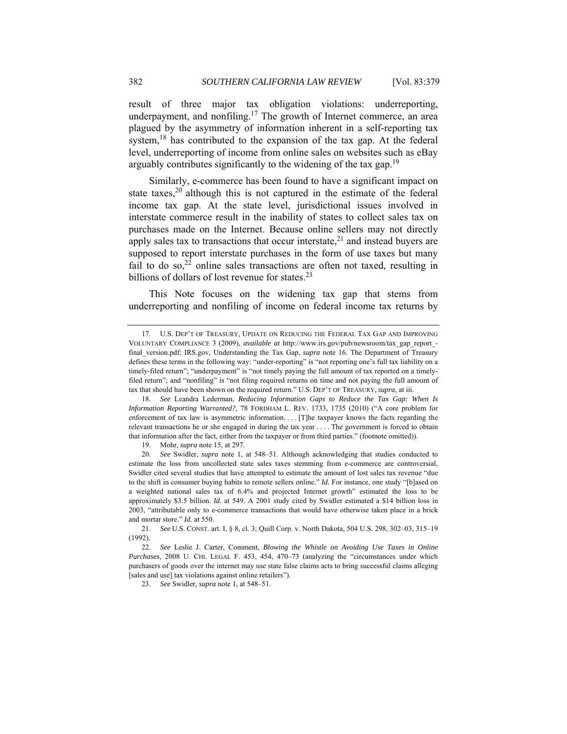result of three major tax obligation violations: underreporting, underpayment, and nonfiling.<sup>17</sup> The growth of Internet commerce, an area plagued by the asymmetry of information inherent in a self-reporting tax system,<sup>18</sup> has contributed to the expansion of the tax gap. At the federal level, underreporting of income from online sales on websites such as eBay arguably contributes significantly to the widening of the tax gap.<sup>19</sup>

Similarly, e-commerce has been found to have a significant impact on state taxes, $20$  although this is not captured in the estimate of the federal income tax gap. At the state level, jurisdictional issues involved in interstate commerce result in the inability of states to collect sales tax on purchases made on the Internet. Because online sellers may not directly apply sales tax to transactions that occur interstate, $2<sup>1</sup>$  and instead buyers are supposed to report interstate purchases in the form of use taxes but many fail to do so, $^{22}$  online sales transactions are often not taxed, resulting in billions of dollars of lost revenue for states. $2<sup>3</sup>$ 

This Note focuses on the widening tax gap that stems from underreporting and nonfiling of income on federal income tax returns by

23. *See* Swidler, *supra* note 1, at 548–51.

 <sup>17.</sup> U.S. DEP'T OF TREASURY, UPDATE ON REDUCING THE FEDERAL TAX GAP AND IMPROVING VOLUNTARY COMPLIANCE 3 (2009), *available at* http://www.irs.gov/pub/newsroom/tax\_gap\_report\_ final\_version.pdf; IRS.gov, Understanding the Tax Gap, *supra* note 16. The Department of Treasury defines these terms in the following way: "under-reporting" is "not reporting one's full tax liability on a timely-filed return"; "underpayment" is "not timely paying the full amount of tax reported on a timelyfiled return"; and "nonfiling" is "not filing required returns on time and not paying the full amount of tax that should have been shown on the required return." U.S. DEP'T OF TREASURY, *supra*, at iii.

 <sup>18.</sup> *See* Leandra Lederman, *Reducing Information Gaps to Reduce the Tax Gap: When Is Information Reporting Warranted?*, 78 FORDHAM L. REV. 1733, 1735 (2010) ("A core problem for enforcement of tax law is asymmetric information. . . [T]he taxpayer knows the facts regarding the relevant transactions he or she engaged in during the tax year . . . . The government is forced to obtain that information after the fact, either from the taxpayer or from third parties." (footnote omitted)).

 <sup>19.</sup> Mohr, *supra* note 15, at 297.

 <sup>20.</sup> *See* Swidler, *supra* note 1, at 548–51. Although acknowledging that studies conducted to estimate the loss from uncollected state sales taxes stemming from e-commerce are controversial, Swidler cited several studies that have attempted to estimate the amount of lost sales tax revenue "due to the shift in consumer buying habits to remote sellers online." *Id.* For instance, one study "[b]ased on a weighted national sales tax of 6.4% and projected Internet growth" estimated the loss to be approximately \$3.5 billion. *Id.* at 549. A 2001 study cited by Swidler estimated a \$14 billion loss in 2003, "attributable only to e-commerce transactions that would have otherwise taken place in a brick and mortar store." *Id.* at 550.

 <sup>21.</sup> *See* U.S. CONST. art. I, § 8, cl. 3; Quill Corp. v. North Dakota, 504 U.S. 298, 302–03, 315–19 (1992).

<sup>22.</sup> *See* Leslie J. Carter, Comment, *Blowing the Whistle on Avoiding Use Taxes in Online Purchases*, 2008 U. CHI. LEGAL F. 453, 454, 470–73 (analyzing the "circumstances under which purchasers of goods over the internet may use state false claims acts to bring successful claims alleging [sales and use] tax violations against online retailers").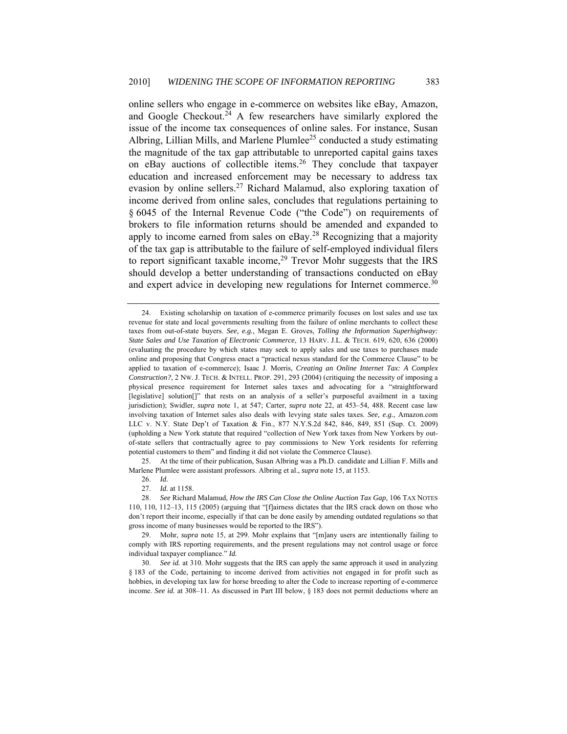online sellers who engage in e-commerce on websites like eBay, Amazon, and Google Checkout.<sup>24</sup> A few researchers have similarly explored the issue of the income tax consequences of online sales. For instance, Susan Albring, Lillian Mills, and Marlene Plumlee<sup>25</sup> conducted a study estimating the magnitude of the tax gap attributable to unreported capital gains taxes on eBay auctions of collectible items.<sup>26</sup> They conclude that taxpayer education and increased enforcement may be necessary to address tax evasion by online sellers.27 Richard Malamud, also exploring taxation of income derived from online sales, concludes that regulations pertaining to § 6045 of the Internal Revenue Code ("the Code") on requirements of brokers to file information returns should be amended and expanded to apply to income earned from sales on  $eBay<sup>28</sup>$  Recognizing that a majority of the tax gap is attributable to the failure of self-employed individual filers to report significant taxable income,  $29$  Trevor Mohr suggests that the IRS should develop a better understanding of transactions conducted on eBay and expert advice in developing new regulations for Internet commerce.<sup>30</sup>

 25. At the time of their publication, Susan Albring was a Ph.D. candidate and Lillian F. Mills and Marlene Plumlee were assistant professors. Albring et al., *supra* note 15, at 1153.

26. *Id.* 

 <sup>24.</sup> Existing scholarship on taxation of e-commerce primarily focuses on lost sales and use tax revenue for state and local governments resulting from the failure of online merchants to collect these taxes from out-of-state buyers. *See, e.g.*, Megan E. Groves, *Tolling the Information Superhighway: State Sales and Use Taxation of Electronic Commerce*, 13 HARV. J.L. & TECH. 619, 620, 636 (2000) (evaluating the procedure by which states may seek to apply sales and use taxes to purchases made online and proposing that Congress enact a "practical nexus standard for the Commerce Clause" to be applied to taxation of e-commerce); Isaac J. Morris, *Creating an Online Internet Tax: A Complex Construction?*, 2 NW. J. TECH. & INTELL. PROP. 291, 293 (2004) (critiquing the necessity of imposing a physical presence requirement for Internet sales taxes and advocating for a "straightforward [legislative] solution[]" that rests on an analysis of a seller's purposeful availment in a taxing jurisdiction); Swidler, *supra* note 1, at 547; Carter, *supra* note 22, at 453–54, 488. Recent case law involving taxation of Internet sales also deals with levying state sales taxes. *See, e.g.*, Amazon.com LLC v. N.Y. State Dep't of Taxation & Fin., 877 N.Y.S.2d 842, 846, 849, 851 (Sup. Ct. 2009) (upholding a New York statute that required "collection of New York taxes from New Yorkers by outof-state sellers that contractually agree to pay commissions to New York residents for referring potential customers to them" and finding it did not violate the Commerce Clause).

 <sup>27.</sup> *Id.* at 1158.

 <sup>28.</sup> *See* Richard Malamud, *How the IRS Can Close the Online Auction Tax Gap*, 106 TAX NOTES 110, 110, 112–13, 115 (2005) (arguing that "[f]airness dictates that the IRS crack down on those who don't report their income, especially if that can be done easily by amending outdated regulations so that gross income of many businesses would be reported to the IRS").

 <sup>29.</sup> Mohr, *supra* note 15, at 299. Mohr explains that "[m]any users are intentionally failing to comply with IRS reporting requirements, and the present regulations may not control usage or force individual taxpayer compliance." *Id.*

 <sup>30.</sup> *See id.* at 310. Mohr suggests that the IRS can apply the same approach it used in analyzing § 183 of the Code, pertaining to income derived from activities not engaged in for profit such as hobbies, in developing tax law for horse breeding to alter the Code to increase reporting of e-commerce income. *See id.* at 308–11. As discussed in Part III below, § 183 does not permit deductions where an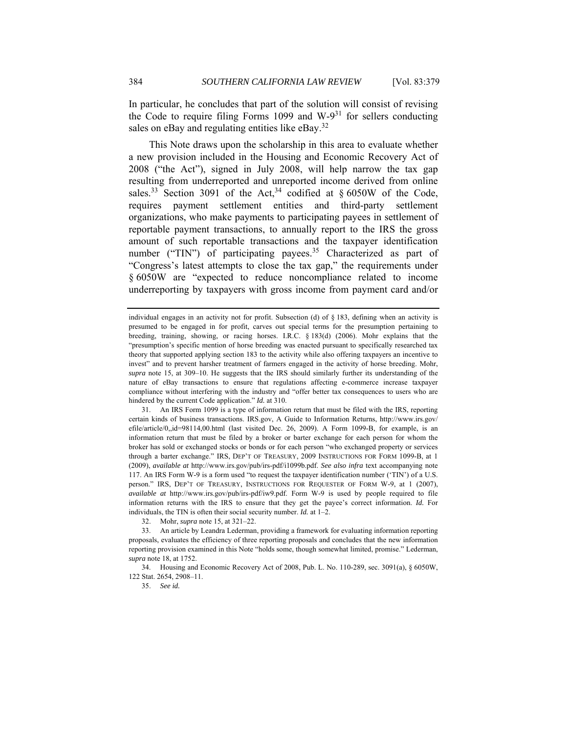In particular, he concludes that part of the solution will consist of revising the Code to require filing Forms 1099 and  $W-9<sup>31</sup>$  for sellers conducting sales on eBay and regulating entities like eBay.<sup>32</sup>

This Note draws upon the scholarship in this area to evaluate whether a new provision included in the Housing and Economic Recovery Act of 2008 ("the Act"), signed in July 2008, will help narrow the tax gap resulting from underreported and unreported income derived from online sales.<sup>33</sup> Section 3091 of the Act,<sup>34</sup> codified at  $\S 6050W$  of the Code, requires payment settlement entities and third-party settlement organizations, who make payments to participating payees in settlement of reportable payment transactions, to annually report to the IRS the gross amount of such reportable transactions and the taxpayer identification number ("TIN") of participating payees.<sup>35</sup> Characterized as part of "Congress's latest attempts to close the tax gap," the requirements under § 6050W are "expected to reduce noncompliance related to income underreporting by taxpayers with gross income from payment card and/or

 31. An IRS Form 1099 is a type of information return that must be filed with the IRS, reporting certain kinds of business transactions. IRS.gov, A Guide to Information Returns, http://www.irs.gov/ efile/article/0,,id=98114,00.html (last visited Dec. 26, 2009). A Form 1099-B, for example, is an information return that must be filed by a broker or barter exchange for each person for whom the broker has sold or exchanged stocks or bonds or for each person "who exchanged property or services through a barter exchange." IRS, DEP'T OF TREASURY, 2009 INSTRUCTIONS FOR FORM 1099-B, at 1 (2009), *available at* http://www.irs.gov/pub/irs-pdf/i1099b.pdf. *See also infra* text accompanying note 117. An IRS Form W-9 is a form used "to request the taxpayer identification number ('TIN') of a U.S. person." IRS, DEP'T OF TREASURY, INSTRUCTIONS FOR REQUESTER OF FORM W-9, at 1 (2007), *available at* http://www.irs.gov/pub/irs-pdf/iw9.pdf. Form W-9 is used by people required to file information returns with the IRS to ensure that they get the payee's correct information. *Id.* For individuals, the TIN is often their social security number. *Id.* at 1–2.

32. Mohr, *supra* note 15, at 321–22.

 33. An article by Leandra Lederman, providing a framework for evaluating information reporting proposals, evaluates the efficiency of three reporting proposals and concludes that the new information reporting provision examined in this Note "holds some, though somewhat limited, promise." Lederman, *supra* note 18, at 1752.

 34. Housing and Economic Recovery Act of 2008, Pub. L. No. 110-289, sec. 3091(a), § 6050W, 122 Stat. 2654, 2908–11.

35. *See id.*

individual engages in an activity not for profit. Subsection (d) of § 183, defining when an activity is presumed to be engaged in for profit, carves out special terms for the presumption pertaining to breeding, training, showing, or racing horses. I.R.C. § 183(d) (2006). Mohr explains that the "presumption's specific mention of horse breeding was enacted pursuant to specifically researched tax theory that supported applying section 183 to the activity while also offering taxpayers an incentive to invest" and to prevent harsher treatment of farmers engaged in the activity of horse breeding. Mohr, *supra* note 15, at 309–10. He suggests that the IRS should similarly further its understanding of the nature of eBay transactions to ensure that regulations affecting e-commerce increase taxpayer compliance without interfering with the industry and "offer better tax consequences to users who are hindered by the current Code application." *Id.* at 310.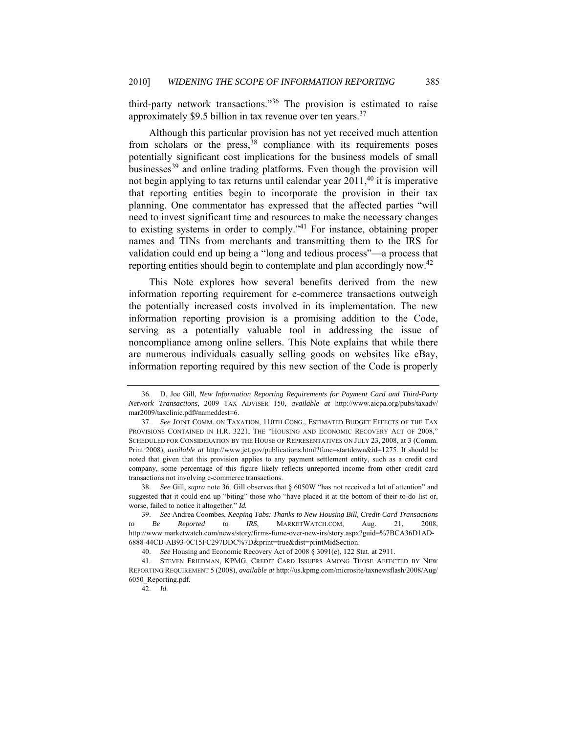third-party network transactions."36 The provision is estimated to raise approximately \$9.5 billion in tax revenue over ten years.<sup>37</sup>

Although this particular provision has not yet received much attention from scholars or the press,  $38$  compliance with its requirements poses potentially significant cost implications for the business models of small businesses<sup>39</sup> and online trading platforms. Even though the provision will not begin applying to tax returns until calendar year  $2011<sup>40</sup>$  it is imperative that reporting entities begin to incorporate the provision in their tax planning. One commentator has expressed that the affected parties "will need to invest significant time and resources to make the necessary changes to existing systems in order to comply."41 For instance, obtaining proper names and TINs from merchants and transmitting them to the IRS for validation could end up being a "long and tedious process"—a process that reporting entities should begin to contemplate and plan accordingly now.<sup>42</sup>

This Note explores how several benefits derived from the new information reporting requirement for e-commerce transactions outweigh the potentially increased costs involved in its implementation. The new information reporting provision is a promising addition to the Code, serving as a potentially valuable tool in addressing the issue of noncompliance among online sellers. This Note explains that while there are numerous individuals casually selling goods on websites like eBay, information reporting required by this new section of the Code is properly

 38. *See* Gill, *supra* note 36. Gill observes that § 6050W "has not received a lot of attention" and suggested that it could end up "biting" those who "have placed it at the bottom of their to-do list or, worse, failed to notice it altogether." *Id.* 

 <sup>36.</sup> D. Joe Gill, *New Information Reporting Requirements for Payment Card and Third-Party Network Transactions*, 2009 TAX ADVISER 150, *available at* http://www.aicpa.org/pubs/taxadv/ mar2009/taxclinic.pdf#nameddest=6.

 <sup>37.</sup> *See* JOINT COMM. ON TAXATION, 110TH CONG., ESTIMATED BUDGET EFFECTS OF THE TAX PROVISIONS CONTAINED IN H.R. 3221, THE "HOUSING AND ECONOMIC RECOVERY ACT OF 2008," SCHEDULED FOR CONSIDERATION BY THE HOUSE OF REPRESENTATIVES ON JULY 23, 2008, at 3 (Comm. Print 2008), *available at* http://www.jct.gov/publications.html?func=startdown&id=1275. It should be noted that given that this provision applies to any payment settlement entity, such as a credit card company, some percentage of this figure likely reflects unreported income from other credit card transactions not involving e-commerce transactions.

 <sup>39.</sup> *See* Andrea Coombes, *Keeping Tabs: Thanks to New Housing Bill, Credit-Card Transactions to Be Reported to IRS*, MARKETWATCH.COM, Aug. 21, 2008, http://www.marketwatch.com/news/story/firms-fume-over-new-irs/story.aspx?guid=%7BCA36D1AD-6888-44CD-AB93-0C15FC297DDC%7D&print=true&dist=printMidSection.

 <sup>40.</sup> *See* Housing and Economic Recovery Act of 2008 § 3091(e), 122 Stat. at 2911.

 <sup>41.</sup> STEVEN FRIEDMAN, KPMG, CREDIT CARD ISSUERS AMONG THOSE AFFECTED BY NEW REPORTING REQUIREMENT 5 (2008), *available at* http://us.kpmg.com/microsite/taxnewsflash/2008/Aug/ 6050\_Reporting.pdf.

<sup>42.</sup> *Id.*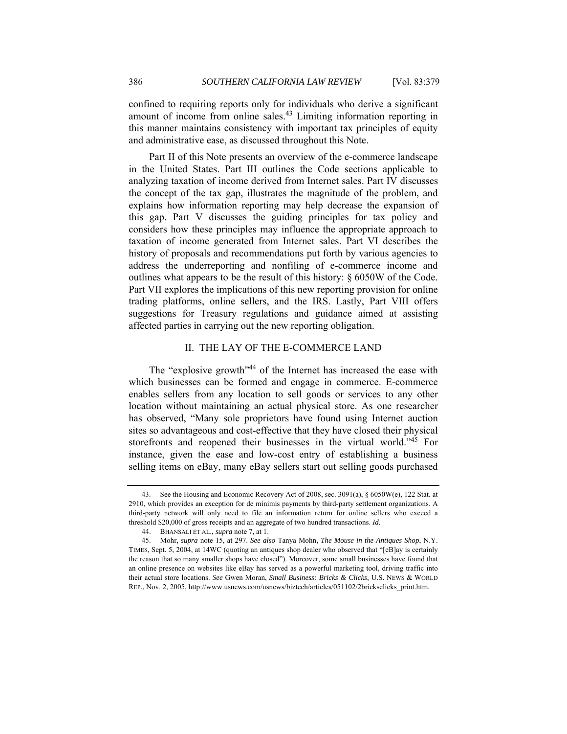confined to requiring reports only for individuals who derive a significant amount of income from online sales. $43$  Limiting information reporting in this manner maintains consistency with important tax principles of equity and administrative ease, as discussed throughout this Note.

Part II of this Note presents an overview of the e-commerce landscape in the United States. Part III outlines the Code sections applicable to analyzing taxation of income derived from Internet sales. Part IV discusses the concept of the tax gap, illustrates the magnitude of the problem, and explains how information reporting may help decrease the expansion of this gap. Part V discusses the guiding principles for tax policy and considers how these principles may influence the appropriate approach to taxation of income generated from Internet sales. Part VI describes the history of proposals and recommendations put forth by various agencies to address the underreporting and nonfiling of e-commerce income and outlines what appears to be the result of this history: § 6050W of the Code. Part VII explores the implications of this new reporting provision for online trading platforms, online sellers, and the IRS. Lastly, Part VIII offers suggestions for Treasury regulations and guidance aimed at assisting affected parties in carrying out the new reporting obligation.

#### II. THE LAY OF THE E-COMMERCE LAND

The "explosive growth"<sup>44</sup> of the Internet has increased the ease with which businesses can be formed and engage in commerce. E-commerce enables sellers from any location to sell goods or services to any other location without maintaining an actual physical store. As one researcher has observed, "Many sole proprietors have found using Internet auction sites so advantageous and cost-effective that they have closed their physical storefronts and reopened their businesses in the virtual world."45 For instance, given the ease and low-cost entry of establishing a business selling items on eBay, many eBay sellers start out selling goods purchased

 <sup>43.</sup> See the Housing and Economic Recovery Act of 2008, sec. 3091(a), § 6050W(e), 122 Stat. at 2910, which provides an exception for de minimis payments by third-party settlement organizations. A third-party network will only need to file an information return for online sellers who exceed a threshold \$20,000 of gross receipts and an aggregate of two hundred transactions. *Id.*

 <sup>44.</sup> BHANSALI ET AL., *supra* note 7, at 1.

 <sup>45.</sup> Mohr, *supra* note 15, at 297. *See also* Tanya Mohn, *The Mouse in the Antiques Shop*, N.Y. TIMES, Sept. 5, 2004, at 14WC (quoting an antiques shop dealer who observed that "[eB]ay is certainly the reason that so many smaller shops have closed"). Moreover, some small businesses have found that an online presence on websites like eBay has served as a powerful marketing tool, driving traffic into their actual store locations. *See* Gwen Moran, *Small Business: Bricks & Clicks*, U.S. NEWS & WORLD REP., Nov. 2, 2005, http://www.usnews.com/usnews/biztech/articles/051102/2bricksclicks\_print.htm.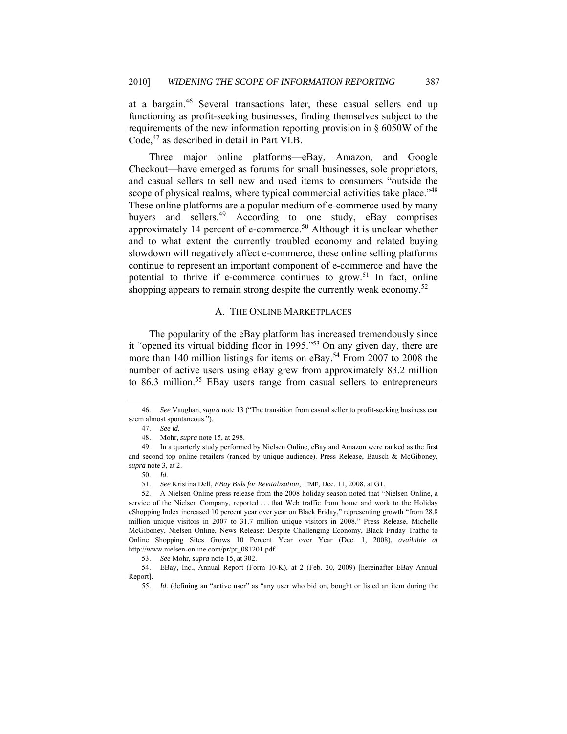at a bargain.46 Several transactions later, these casual sellers end up functioning as profit-seeking businesses, finding themselves subject to the requirements of the new information reporting provision in § 6050W of the Code,<sup>47</sup> as described in detail in Part VI.B.

Three major online platforms—eBay, Amazon, and Google Checkout—have emerged as forums for small businesses, sole proprietors, and casual sellers to sell new and used items to consumers "outside the scope of physical realms, where typical commercial activities take place."<sup>48</sup> These online platforms are a popular medium of e-commerce used by many buyers and sellers.<sup>49</sup> According to one study, eBay comprises approximately 14 percent of e-commerce.<sup>50</sup> Although it is unclear whether and to what extent the currently troubled economy and related buying slowdown will negatively affect e-commerce, these online selling platforms continue to represent an important component of e-commerce and have the potential to thrive if e-commerce continues to grow.<sup>51</sup> In fact, online shopping appears to remain strong despite the currently weak economy.<sup>52</sup>

#### A. THE ONLINE MARKETPLACES

The popularity of the eBay platform has increased tremendously since it "opened its virtual bidding floor in 1995."53 On any given day, there are more than 140 million listings for items on eBay.<sup>54</sup> From 2007 to 2008 the number of active users using eBay grew from approximately 83.2 million to 86.3 million.<sup>55</sup> EBay users range from casual sellers to entrepreneurs

 <sup>46.</sup> *See* Vaughan, *supra* note 13 ("The transition from casual seller to profit-seeking business can seem almost spontaneous.").

<sup>47.</sup> *See id.*

 <sup>48.</sup> Mohr, *supra* note 15, at 298.

 <sup>49.</sup> In a quarterly study performed by Nielsen Online, eBay and Amazon were ranked as the first and second top online retailers (ranked by unique audience). Press Release, Bausch & McGiboney, *supra* note 3, at 2.

<sup>50.</sup> *Id.* 

 <sup>51.</sup> *See* Kristina Dell, *EBay Bids for Revitalization*, TIME, Dec. 11, 2008, at G1.

 <sup>52.</sup> A Nielsen Online press release from the 2008 holiday season noted that "Nielsen Online, a service of the Nielsen Company, reported . . . that Web traffic from home and work to the Holiday eShopping Index increased 10 percent year over year on Black Friday," representing growth "from 28.8 million unique visitors in 2007 to 31.7 million unique visitors in 2008." Press Release, Michelle McGiboney, Nielsen Online, News Release: Despite Challenging Economy, Black Friday Traffic to Online Shopping Sites Grows 10 Percent Year over Year (Dec. 1, 2008), *available at* http://www.nielsen-online.com/pr/pr\_081201.pdf.

 <sup>53.</sup> *See* Mohr, *supra* note 15, at 302.

<sup>54.</sup> EBay, Inc., Annual Report (Form 10-K), at 2 (Feb. 20, 2009) [hereinafter EBay Annual Report].

<sup>55.</sup> *Id.* (defining an "active user" as "any user who bid on, bought or listed an item during the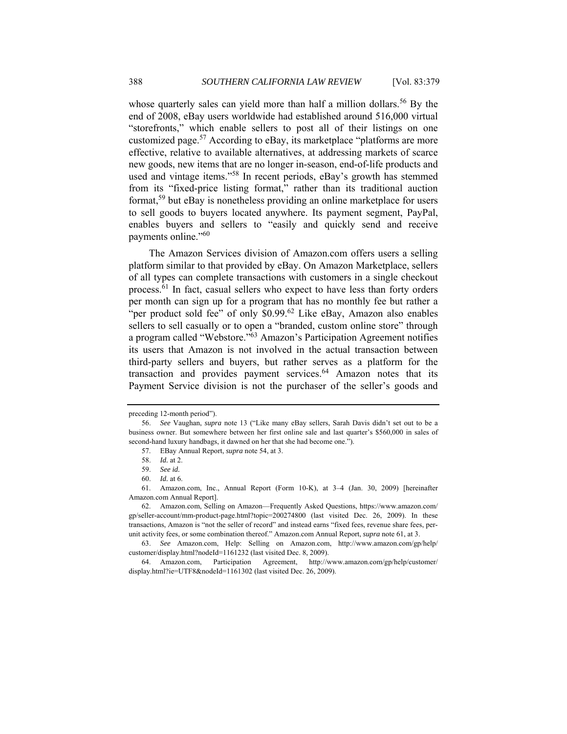whose quarterly sales can yield more than half a million dollars.<sup>56</sup> By the end of 2008, eBay users worldwide had established around 516,000 virtual "storefronts," which enable sellers to post all of their listings on one customized page.<sup>57</sup> According to eBay, its marketplace "platforms are more effective, relative to available alternatives, at addressing markets of scarce new goods, new items that are no longer in-season, end-of-life products and used and vintage items."58 In recent periods, eBay's growth has stemmed from its "fixed-price listing format," rather than its traditional auction format,59 but eBay is nonetheless providing an online marketplace for users to sell goods to buyers located anywhere. Its payment segment, PayPal, enables buyers and sellers to "easily and quickly send and receive payments online."60

The Amazon Services division of Amazon.com offers users a selling platform similar to that provided by eBay. On Amazon Marketplace, sellers of all types can complete transactions with customers in a single checkout process.<sup>61</sup> In fact, casual sellers who expect to have less than forty orders per month can sign up for a program that has no monthly fee but rather a "per product sold fee" of only  $$0.99<sup>62</sup>$  Like eBay, Amazon also enables sellers to sell casually or to open a "branded, custom online store" through a program called "Webstore."63 Amazon's Participation Agreement notifies its users that Amazon is not involved in the actual transaction between third-party sellers and buyers, but rather serves as a platform for the transaction and provides payment services. $64$  Amazon notes that its Payment Service division is not the purchaser of the seller's goods and

preceding 12-month period").

 <sup>56.</sup> *See* Vaughan, *supra* note 13 ("Like many eBay sellers, Sarah Davis didn't set out to be a business owner. But somewhere between her first online sale and last quarter's \$560,000 in sales of second-hand luxury handbags, it dawned on her that she had become one.").

 <sup>57.</sup> EBay Annual Report, *supra* note 54, at 3.

<sup>58.</sup> *Id.* at 2.

<sup>59.</sup> *See id.*

<sup>60.</sup> *Id.* at 6.

 <sup>61.</sup> Amazon.com, Inc., Annual Report (Form 10-K), at 3–4 (Jan. 30, 2009) [hereinafter Amazon.com Annual Report].

 <sup>62.</sup> Amazon.com, Selling on Amazon—Frequently Asked Questions, https://www.amazon.com/ gp/seller-account/mm-product-page.html?topic=200274800 (last visited Dec. 26, 2009). In these transactions, Amazon is "not the seller of record" and instead earns "fixed fees, revenue share fees, perunit activity fees, or some combination thereof." Amazon.com Annual Report, *supra* note 61, at 3.

 <sup>63.</sup> *See* Amazon.com, Help: Selling on Amazon.com, http://www.amazon.com/gp/help/ customer/display.html?nodeId=1161232 (last visited Dec. 8, 2009).

 <sup>64.</sup> Amazon.com, Participation Agreement, http://www.amazon.com/gp/help/customer/ display.html?ie=UTF8&nodeId=1161302 (last visited Dec. 26, 2009).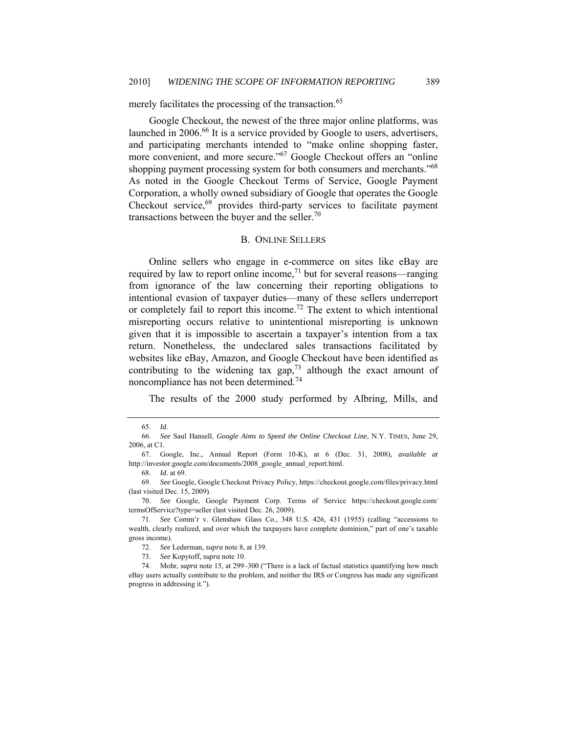# merely facilitates the processing of the transaction.<sup>65</sup>

Google Checkout, the newest of the three major online platforms, was launched in 2006.<sup>66</sup> It is a service provided by Google to users, advertisers, and participating merchants intended to "make online shopping faster, more convenient, and more secure."<sup>67</sup> Google Checkout offers an "online" shopping payment processing system for both consumers and merchants."<sup>68</sup> As noted in the Google Checkout Terms of Service, Google Payment Corporation, a wholly owned subsidiary of Google that operates the Google Checkout service,<sup>69</sup> provides third-party services to facilitate payment transactions between the buyer and the seller.<sup>70</sup>

#### B. ONLINE SELLERS

Online sellers who engage in e-commerce on sites like eBay are required by law to report online income,<sup>71</sup> but for several reasons—ranging from ignorance of the law concerning their reporting obligations to intentional evasion of taxpayer duties—many of these sellers underreport or completely fail to report this income.<sup>72</sup> The extent to which intentional misreporting occurs relative to unintentional misreporting is unknown given that it is impossible to ascertain a taxpayer's intention from a tax return. Nonetheless, the undeclared sales transactions facilitated by websites like eBay, Amazon, and Google Checkout have been identified as contributing to the widening tax  $\text{gap}^{73}$  although the exact amount of noncompliance has not been determined.74

The results of the 2000 study performed by Albring, Mills, and

 <sup>65.</sup> *Id.*

 <sup>66.</sup> *See* Saul Hansell, *Google Aims to Speed the Online Checkout Line*, N.Y. TIMES, June 29, 2006, at C1.

 <sup>67.</sup> Google, Inc., Annual Report (Form 10-K), at 6 (Dec. 31, 2008), *available at* http://investor.google.com/documents/2008\_google\_annual\_report.html.

<sup>68.</sup> *Id.* at 69.

 <sup>69.</sup> *See* Google, Google Checkout Privacy Policy, https://checkout.google.com/files/privacy.html (last visited Dec. 15, 2009).

 <sup>70.</sup> *See* Google, Google Payment Corp. Terms of Service https://checkout.google.com/ termsOfService?type=seller (last visited Dec. 26, 2009).

 <sup>71.</sup> *See* Comm'r v. Glenshaw Glass Co., 348 U.S. 426, 431 (1955) (calling "accessions to wealth, clearly realized, and over which the taxpayers have complete dominion," part of one's taxable gross income).

 <sup>72.</sup> *See* Lederman, *supra* note 8, at 139.

 <sup>73.</sup> *See* Kopytoff, *supra* note 10.

 <sup>74.</sup> Mohr, *supra* note 15, at 299–300 ("There is a lack of factual statistics quantifying how much eBay users actually contribute to the problem, and neither the IRS or Congress has made any significant progress in addressing it.").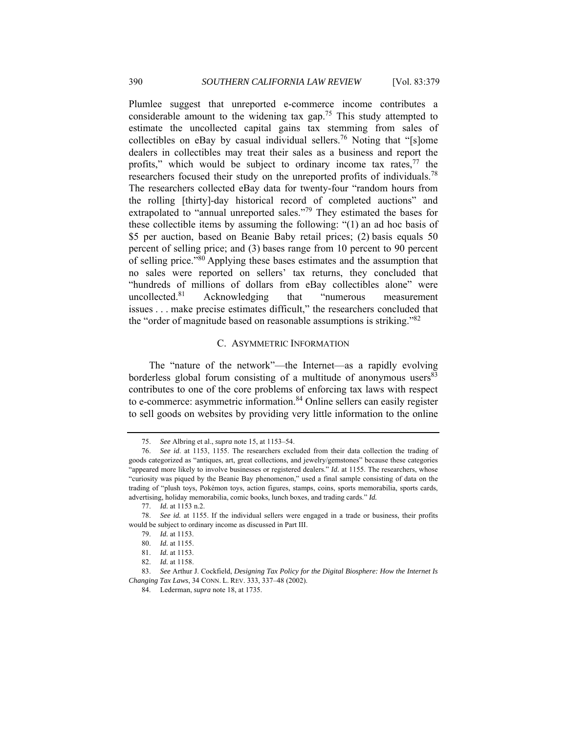Plumlee suggest that unreported e-commerce income contributes a considerable amount to the widening tax gap.<sup>75</sup> This study attempted to estimate the uncollected capital gains tax stemming from sales of collectibles on eBay by casual individual sellers.<sup>76</sup> Noting that "[s]ome dealers in collectibles may treat their sales as a business and report the profits," which would be subject to ordinary income tax rates, $77$  the researchers focused their study on the unreported profits of individuals.<sup>78</sup> The researchers collected eBay data for twenty-four "random hours from the rolling [thirty]-day historical record of completed auctions" and extrapolated to "annual unreported sales."<sup>79</sup> They estimated the bases for these collectible items by assuming the following: "(1) an ad hoc basis of \$5 per auction, based on Beanie Baby retail prices; (2) basis equals 50 percent of selling price; and (3) bases range from 10 percent to 90 percent of selling price."<sup>80</sup> Applying these bases estimates and the assumption that no sales were reported on sellers' tax returns, they concluded that "hundreds of millions of dollars from eBay collectibles alone" were uncollected.81 Acknowledging that "numerous measurement issues . . . make precise estimates difficult," the researchers concluded that the "order of magnitude based on reasonable assumptions is striking."82

#### C. ASYMMETRIC INFORMATION

The "nature of the network"—the Internet—as a rapidly evolving borderless global forum consisting of a multitude of anonymous users $83$ contributes to one of the core problems of enforcing tax laws with respect to e-commerce: asymmetric information.<sup>84</sup> Online sellers can easily register to sell goods on websites by providing very little information to the online

 <sup>75.</sup> *See* Albring et al., *supra* note 15, at 1153–54.

 <sup>76.</sup> *See id*. at 1153, 1155. The researchers excluded from their data collection the trading of goods categorized as "antiques, art, great collections, and jewelry/gemstones" because these categories "appeared more likely to involve businesses or registered dealers." *Id.* at 1155. The researchers, whose "curiosity was piqued by the Beanie Bay phenomenon," used a final sample consisting of data on the trading of "plush toys, Pokémon toys, action figures, stamps, coins, sports memorabilia, sports cards, advertising, holiday memorabilia, comic books, lunch boxes, and trading cards." *Id.*

<sup>77.</sup> *Id.* at 1153 n.2.

 <sup>78.</sup> *See id.* at 1155. If the individual sellers were engaged in a trade or business, their profits would be subject to ordinary income as discussed in Part III.

<sup>79.</sup> *Id.* at 1153.

<sup>80.</sup> *Id.* at 1155.

<sup>81.</sup> *Id.* at 1153.

<sup>82.</sup> *Id.* at 1158.

 <sup>83.</sup> *See* Arthur J. Cockfield, *Designing Tax Policy for the Digital Biosphere: How the Internet Is Changing Tax Laws*, 34 CONN. L. REV. 333, 337–48 (2002).

 <sup>84.</sup> Lederman, *supra* note 18, at 1735.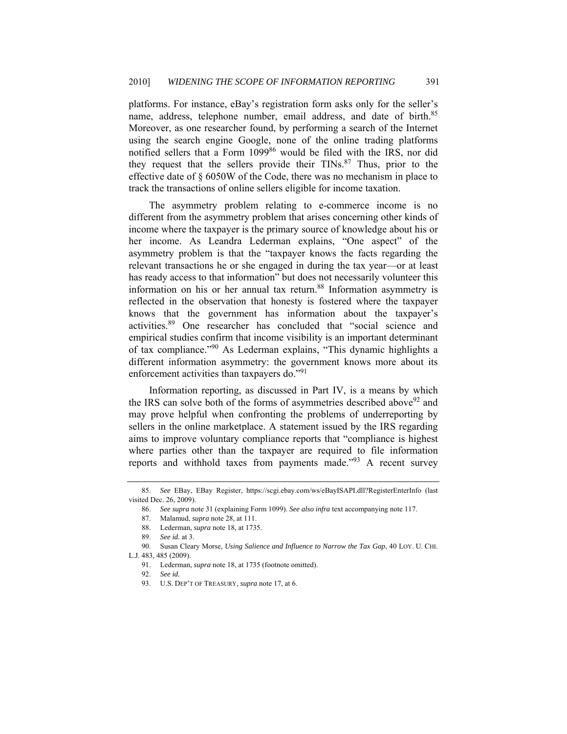platforms. For instance, eBay's registration form asks only for the seller's name, address, telephone number, email address, and date of birth.<sup>85</sup> Moreover, as one researcher found, by performing a search of the Internet using the search engine Google, none of the online trading platforms notified sellers that a Form 1099<sup>86</sup> would be filed with the IRS, nor did they request that the sellers provide their  $TINs$ <sup>87</sup>. Thus, prior to the effective date of § 6050W of the Code, there was no mechanism in place to track the transactions of online sellers eligible for income taxation.

The asymmetry problem relating to e-commerce income is no different from the asymmetry problem that arises concerning other kinds of income where the taxpayer is the primary source of knowledge about his or her income. As Leandra Lederman explains, "One aspect" of the asymmetry problem is that the "taxpayer knows the facts regarding the relevant transactions he or she engaged in during the tax year—or at least has ready access to that information" but does not necessarily volunteer this information on his or her annual tax return.<sup>88</sup> Information asymmetry is reflected in the observation that honesty is fostered where the taxpayer knows that the government has information about the taxpayer's activities.89 One researcher has concluded that "social science and empirical studies confirm that income visibility is an important determinant of tax compliance."90 As Lederman explains, "This dynamic highlights a different information asymmetry: the government knows more about its enforcement activities than taxpayers do."<sup>91</sup>

Information reporting, as discussed in Part IV, is a means by which the IRS can solve both of the forms of asymmetries described above  $92$  and may prove helpful when confronting the problems of underreporting by sellers in the online marketplace. A statement issued by the IRS regarding aims to improve voluntary compliance reports that "compliance is highest where parties other than the taxpayer are required to file information reports and withhold taxes from payments made."<sup>93</sup> A recent survey

 <sup>85.</sup> *See* EBay, EBay Register, https://scgi.ebay.com/ws/eBayISAPI.dll?RegisterEnterInfo (last visited Dec. 26, 2009).

 <sup>86.</sup> *See supra* note 31 (explaining Form 1099). *See also infra* text accompanying note 117.

 <sup>87.</sup> Malamud, *supra* note 28, at 111.

 <sup>88.</sup> Lederman, *supra* note 18, at 1735.

 <sup>89.</sup> *See id.* at 3.

 <sup>90.</sup> Susan Cleary Morse, *Using Salience and Influence to Narrow the Tax Gap*, 40 LOY. U. CHI. L.J. 483, 485 (2009).

 <sup>91.</sup> Lederman, *supra* note 18, at 1735 (footnote omitted).

<sup>92.</sup> *See id.*

 <sup>93.</sup> U.S. DEP'T OF TREASURY, *supra* note 17, at 6.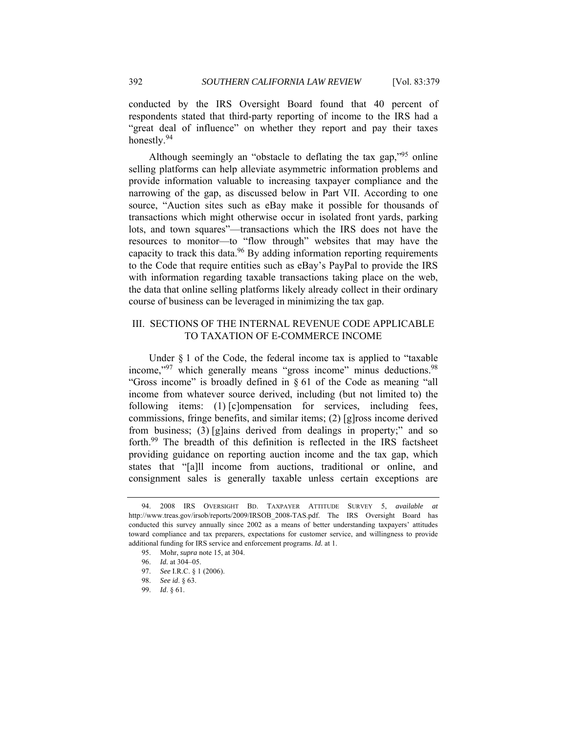conducted by the IRS Oversight Board found that 40 percent of respondents stated that third-party reporting of income to the IRS had a "great deal of influence" on whether they report and pay their taxes honestly.<sup>94</sup>

Although seemingly an "obstacle to deflating the tax gap,"95 online selling platforms can help alleviate asymmetric information problems and provide information valuable to increasing taxpayer compliance and the narrowing of the gap, as discussed below in Part VII. According to one source, "Auction sites such as eBay make it possible for thousands of transactions which might otherwise occur in isolated front yards, parking lots, and town squares"—transactions which the IRS does not have the resources to monitor—to "flow through" websites that may have the capacity to track this data.<sup>96</sup> By adding information reporting requirements to the Code that require entities such as eBay's PayPal to provide the IRS with information regarding taxable transactions taking place on the web, the data that online selling platforms likely already collect in their ordinary course of business can be leveraged in minimizing the tax gap.

# III. SECTIONS OF THE INTERNAL REVENUE CODE APPLICABLE TO TAXATION OF E-COMMERCE INCOME

Under  $\S$  1 of the Code, the federal income tax is applied to "taxable" income,"<sup>97</sup> which generally means "gross income" minus deductions.<sup>98</sup> "Gross income" is broadly defined in § 61 of the Code as meaning "all income from whatever source derived, including (but not limited to) the following items: (1) [c]ompensation for services, including fees, commissions, fringe benefits, and similar items; (2) [g]ross income derived from business; (3) [g]ains derived from dealings in property;" and so forth.99 The breadth of this definition is reflected in the IRS factsheet providing guidance on reporting auction income and the tax gap, which states that "[a]ll income from auctions, traditional or online, and consignment sales is generally taxable unless certain exceptions are

 <sup>94. 2008</sup> IRS OVERSIGHT BD. TAXPAYER ATTITUDE SURVEY 5, *available at* http://www.treas.gov/irsob/reports/2009/IRSOB\_2008-TAS.pdf. The IRS Oversight Board has conducted this survey annually since 2002 as a means of better understanding taxpayers' attitudes toward compliance and tax preparers, expectations for customer service, and willingness to provide additional funding for IRS service and enforcement programs. *Id.* at 1.

 <sup>95.</sup> Mohr, *supra* note 15, at 304.

<sup>96.</sup> *Id.* at 304–05.

 <sup>97.</sup> *See* I.R.C. § 1 (2006).

 <sup>98.</sup> *See id*. § 63.

 <sup>99.</sup> *Id*. § 61.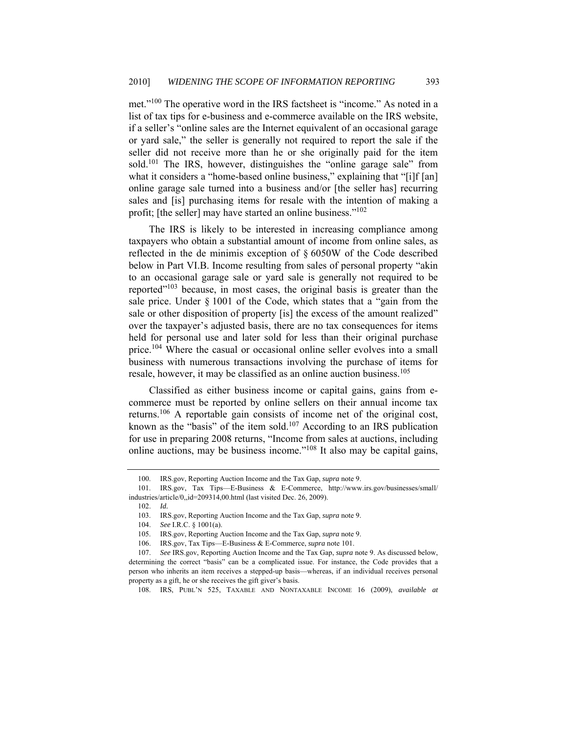met."<sup>100</sup> The operative word in the IRS factsheet is "income." As noted in a list of tax tips for e-business and e-commerce available on the IRS website, if a seller's "online sales are the Internet equivalent of an occasional garage or yard sale," the seller is generally not required to report the sale if the seller did not receive more than he or she originally paid for the item sold.<sup>101</sup> The IRS, however, distinguishes the "online garage sale" from what it considers a "home-based online business," explaining that "[i]f [an] online garage sale turned into a business and/or [the seller has] recurring sales and [is] purchasing items for resale with the intention of making a profit; [the seller] may have started an online business."<sup>102</sup>

The IRS is likely to be interested in increasing compliance among taxpayers who obtain a substantial amount of income from online sales, as reflected in the de minimis exception of § 6050W of the Code described below in Part VI.B. Income resulting from sales of personal property "akin to an occasional garage sale or yard sale is generally not required to be reported $103$  because, in most cases, the original basis is greater than the sale price. Under § 1001 of the Code, which states that a "gain from the sale or other disposition of property [is] the excess of the amount realized" over the taxpayer's adjusted basis, there are no tax consequences for items held for personal use and later sold for less than their original purchase price.<sup>104</sup> Where the casual or occasional online seller evolves into a small business with numerous transactions involving the purchase of items for resale, however, it may be classified as an online auction business.<sup>105</sup>

Classified as either business income or capital gains, gains from ecommerce must be reported by online sellers on their annual income tax returns.106 A reportable gain consists of income net of the original cost, known as the "basis" of the item sold.<sup>107</sup> According to an IRS publication for use in preparing 2008 returns, "Income from sales at auctions, including online auctions, may be business income."108 It also may be capital gains,

 <sup>100.</sup> IRS.gov, Reporting Auction Income and the Tax Gap, *supra* note 9.

 <sup>101.</sup> IRS.gov, Tax Tips—E-Business & E-Commerce, http://www.irs.gov/businesses/small/ industries/article/0,,id=209314,00.html (last visited Dec. 26, 2009).

<sup>102.</sup> *Id.*

 <sup>103.</sup> IRS.gov, Reporting Auction Income and the Tax Gap, *supra* note 9.

 <sup>104.</sup> *See* I.R.C. § 1001(a).

 <sup>105.</sup> IRS.gov, Reporting Auction Income and the Tax Gap, *supra* note 9.

<sup>106.</sup> IRS.gov, Tax Tips—E-Business & E-Commerce, *supra* note 101.

 <sup>107.</sup> *See* IRS.gov, Reporting Auction Income and the Tax Gap, *supra* note 9. As discussed below, determining the correct "basis" can be a complicated issue. For instance, the Code provides that a person who inherits an item receives a stepped-up basis—whereas, if an individual receives personal property as a gift, he or she receives the gift giver's basis.

 <sup>108.</sup> IRS, PUBL'N 525, TAXABLE AND NONTAXABLE INCOME 16 (2009), *available at*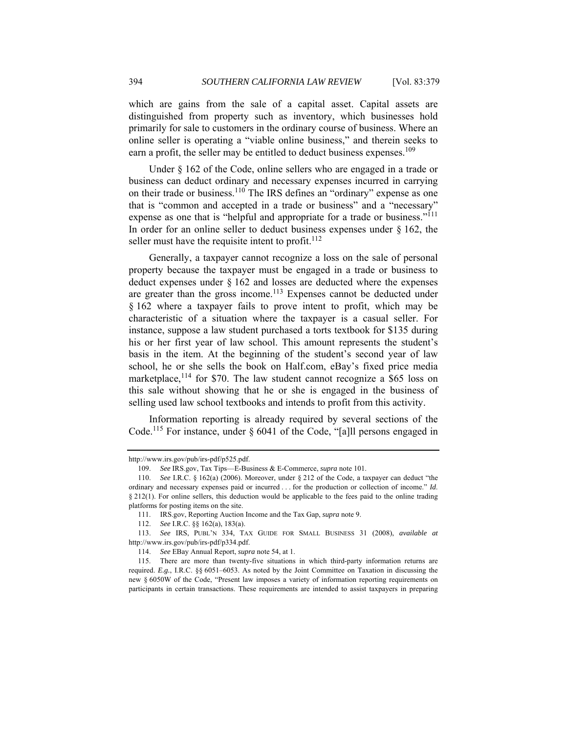which are gains from the sale of a capital asset. Capital assets are distinguished from property such as inventory, which businesses hold primarily for sale to customers in the ordinary course of business. Where an online seller is operating a "viable online business," and therein seeks to earn a profit, the seller may be entitled to deduct business expenses.<sup>109</sup>

Under  $\S$  162 of the Code, online sellers who are engaged in a trade or business can deduct ordinary and necessary expenses incurred in carrying on their trade or business.<sup>110</sup> The IRS defines an "ordinary" expense as one that is "common and accepted in a trade or business" and a "necessary" expense as one that is "helpful and appropriate for a trade or business."<sup>111</sup> In order for an online seller to deduct business expenses under  $\S$  162, the seller must have the requisite intent to profit.<sup>112</sup>

Generally, a taxpayer cannot recognize a loss on the sale of personal property because the taxpayer must be engaged in a trade or business to deduct expenses under § 162 and losses are deducted where the expenses are greater than the gross income.<sup>113</sup> Expenses cannot be deducted under § 162 where a taxpayer fails to prove intent to profit, which may be characteristic of a situation where the taxpayer is a casual seller. For instance, suppose a law student purchased a torts textbook for \$135 during his or her first year of law school. This amount represents the student's basis in the item. At the beginning of the student's second year of law school, he or she sells the book on Half.com, eBay's fixed price media marketplace,  $114$  for \$70. The law student cannot recognize a \$65 loss on this sale without showing that he or she is engaged in the business of selling used law school textbooks and intends to profit from this activity.

Information reporting is already required by several sections of the Code.115 For instance, under § 6041 of the Code, "[a]ll persons engaged in

http://www.irs.gov/pub/irs-pdf/p525.pdf.

<sup>109.</sup> *See* IRS.gov, Tax Tips—E-Business & E-Commerce, *supra* note 101.

 <sup>110.</sup> *See* I.R.C. § 162(a) (2006). Moreover, under § 212 of the Code, a taxpayer can deduct "the ordinary and necessary expenses paid or incurred . . . for the production or collection of income." *Id*. § 212(1). For online sellers, this deduction would be applicable to the fees paid to the online trading platforms for posting items on the site.

 <sup>111.</sup> IRS.gov, Reporting Auction Income and the Tax Gap, *supra* note 9.

See I.R.C. §§ 162(a), 183(a).

 <sup>113.</sup> *See* IRS, PUBL'N 334, TAX GUIDE FOR SMALL BUSINESS 31 (2008), *available at* http://www.irs.gov/pub/irs-pdf/p334.pdf.

 <sup>114.</sup> *See* EBay Annual Report, *supra* note 54, at 1.

 <sup>115.</sup> There are more than twenty-five situations in which third-party information returns are required. *E.g.*, I.R.C. §§ 6051–6053. As noted by the Joint Committee on Taxation in discussing the new § 6050W of the Code, "Present law imposes a variety of information reporting requirements on participants in certain transactions. These requirements are intended to assist taxpayers in preparing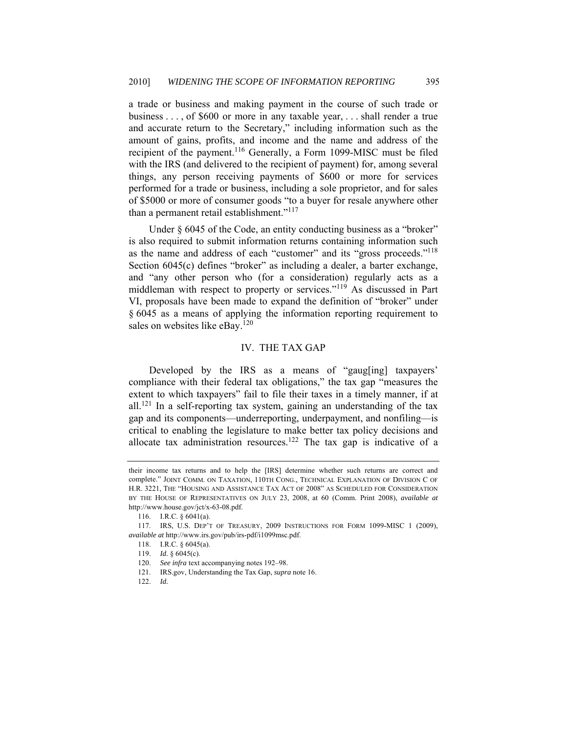a trade or business and making payment in the course of such trade or business . . . , of \$600 or more in any taxable year, . . . shall render a true and accurate return to the Secretary," including information such as the amount of gains, profits, and income and the name and address of the recipient of the payment.116 Generally, a Form 1099-MISC must be filed with the IRS (and delivered to the recipient of payment) for, among several things, any person receiving payments of \$600 or more for services performed for a trade or business, including a sole proprietor, and for sales of \$5000 or more of consumer goods "to a buyer for resale anywhere other than a permanent retail establishment."<sup>117</sup>

Under § 6045 of the Code, an entity conducting business as a "broker" is also required to submit information returns containing information such as the name and address of each "customer" and its "gross proceeds."118 Section 6045(c) defines "broker" as including a dealer, a barter exchange, and "any other person who (for a consideration) regularly acts as a middleman with respect to property or services."119 As discussed in Part VI, proposals have been made to expand the definition of "broker" under § 6045 as a means of applying the information reporting requirement to sales on websites like eBay.<sup>120</sup>

#### IV. THE TAX GAP

Developed by the IRS as a means of "gaug[ing] taxpayers' compliance with their federal tax obligations," the tax gap "measures the extent to which taxpayers" fail to file their taxes in a timely manner, if at all.<sup>121</sup> In a self-reporting tax system, gaining an understanding of the tax gap and its components—underreporting, underpayment, and nonfiling—is critical to enabling the legislature to make better tax policy decisions and allocate tax administration resources.<sup>122</sup> The tax gap is indicative of a

their income tax returns and to help the [IRS] determine whether such returns are correct and complete." JOINT COMM. ON TAXATION, 110TH CONG., TECHNICAL EXPLANATION OF DIVISION C OF H.R. 3221, THE "HOUSING AND ASSISTANCE TAX ACT OF 2008" AS SCHEDULED FOR CONSIDERATION BY THE HOUSE OF REPRESENTATIVES ON JULY 23, 2008, at 60 (Comm. Print 2008), *available at* http://www.house.gov/jct/x-63-08.pdf.

 <sup>116.</sup> I.R.C. § 6041(a).

 <sup>117.</sup> IRS, U.S. DEP'T OF TREASURY, 2009 INSTRUCTIONS FOR FORM 1099-MISC 1 (2009), *available at* http://www.irs.gov/pub/irs-pdf/i1099msc.pdf.

 <sup>118.</sup> I.R.C. § 6045(a).

 <sup>119.</sup> *Id.* § 6045(c).

 <sup>120.</sup> *See infra* text accompanying notes 192–98.

 <sup>121.</sup> IRS.gov, Understanding the Tax Gap, *supra* note 16.

<sup>122.</sup> *Id.*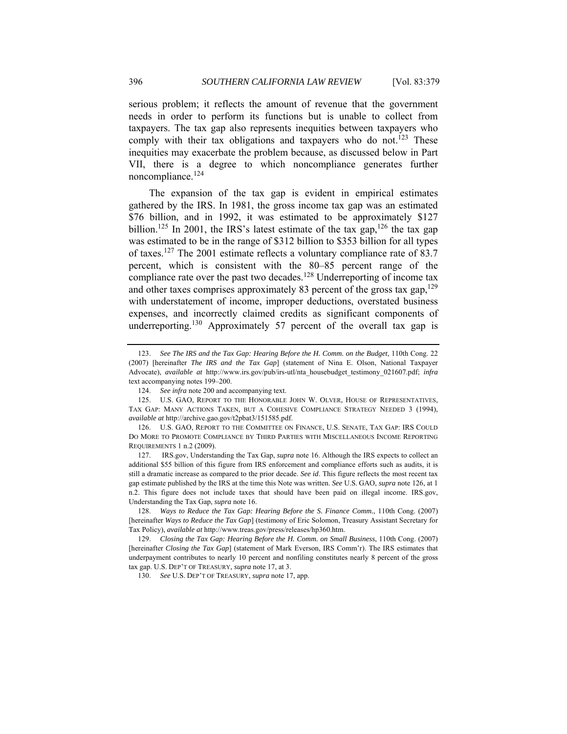serious problem; it reflects the amount of revenue that the government needs in order to perform its functions but is unable to collect from taxpayers. The tax gap also represents inequities between taxpayers who comply with their tax obligations and taxpayers who do not.<sup>123</sup> These inequities may exacerbate the problem because, as discussed below in Part VII, there is a degree to which noncompliance generates further noncompliance.<sup>124</sup>

The expansion of the tax gap is evident in empirical estimates gathered by the IRS. In 1981, the gross income tax gap was an estimated \$76 billion, and in 1992, it was estimated to be approximately \$127 billion.<sup>125</sup> In 2001, the IRS's latest estimate of the tax gap,<sup>126</sup> the tax gap was estimated to be in the range of \$312 billion to \$353 billion for all types of taxes.127 The 2001 estimate reflects a voluntary compliance rate of 83.7 percent, which is consistent with the 80–85 percent range of the compliance rate over the past two decades.<sup>128</sup> Underreporting of income tax and other taxes comprises approximately 83 percent of the gross tax gap,  $129$ with understatement of income, improper deductions, overstated business expenses, and incorrectly claimed credits as significant components of underreporting.<sup>130</sup> Approximately 57 percent of the overall tax gap is

 127. IRS.gov, Understanding the Tax Gap, *supra* note 16. Although the IRS expects to collect an additional \$55 billion of this figure from IRS enforcement and compliance efforts such as audits, it is still a dramatic increase as compared to the prior decade. *See id*. This figure reflects the most recent tax gap estimate published by the IRS at the time this Note was written. *See* U.S. GAO, *supra* note 126, at 1 n.2. This figure does not include taxes that should have been paid on illegal income. IRS.gov, Understanding the Tax Gap, *supra* note 16.

 <sup>123.</sup> *See The IRS and the Tax Gap: Hearing Before the H. Comm. on the Budget*, 110th Cong. 22 (2007) [hereinafter *The IRS and the Tax Gap*] (statement of Nina E. Olson, National Taxpayer Advocate), *available at* http://www.irs.gov/pub/irs-utl/nta\_housebudget\_testimony\_021607.pdf; *infra* text accompanying notes 199–200.

 <sup>124.</sup> *See infra* note 200 and accompanying text.

<sup>125.</sup> U.S. GAO, REPORT TO THE HONORABLE JOHN W. OLVER, HOUSE OF REPRESENTATIVES, TAX GAP: MANY ACTIONS TAKEN, BUT A COHESIVE COMPLIANCE STRATEGY NEEDED 3 (1994), *available at* http://archive.gao.gov/t2pbat3/151585.pdf.

 <sup>126.</sup> U.S. GAO, REPORT TO THE COMMITTEE ON FINANCE, U.S. SENATE, TAX GAP: IRS COULD DO MORE TO PROMOTE COMPLIANCE BY THIRD PARTIES WITH MISCELLANEOUS INCOME REPORTING REQUIREMENTS 1 n.2 (2009).

 <sup>128.</sup> *Ways to Reduce the Tax Gap: Hearing Before the S. Finance Comm.*, 110th Cong. (2007) [hereinafter *Ways to Reduce the Tax Gap*] (testimony of Eric Solomon, Treasury Assistant Secretary for Tax Policy), *available at* http://www.treas.gov/press/releases/hp360.htm.

 <sup>129.</sup> *Closing the Tax Gap: Hearing Before the H. Comm. on Small Business*, 110th Cong. (2007) [hereinafter *Closing the Tax Gap*] (statement of Mark Everson, IRS Comm'r). The IRS estimates that underpayment contributes to nearly 10 percent and nonfiling constitutes nearly 8 percent of the gross tax gap. U.S. DEP'T OF TREASURY, *supra* note 17, at 3.

 <sup>130.</sup> *See* U.S. DEP'T OF TREASURY, *supra* note 17, app.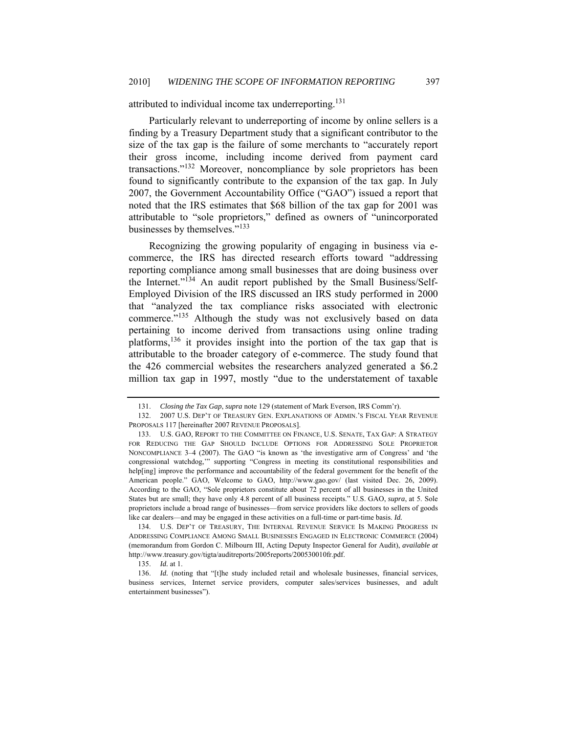# attributed to individual income tax underreporting.<sup>131</sup>

Particularly relevant to underreporting of income by online sellers is a finding by a Treasury Department study that a significant contributor to the size of the tax gap is the failure of some merchants to "accurately report their gross income, including income derived from payment card transactions."132 Moreover, noncompliance by sole proprietors has been found to significantly contribute to the expansion of the tax gap. In July 2007, the Government Accountability Office ("GAO") issued a report that noted that the IRS estimates that \$68 billion of the tax gap for 2001 was attributable to "sole proprietors," defined as owners of "unincorporated businesses by themselves."<sup>133</sup>

Recognizing the growing popularity of engaging in business via ecommerce, the IRS has directed research efforts toward "addressing reporting compliance among small businesses that are doing business over the Internet."134 An audit report published by the Small Business/Self-Employed Division of the IRS discussed an IRS study performed in 2000 that "analyzed the tax compliance risks associated with electronic commerce."<sup>135</sup> Although the study was not exclusively based on data pertaining to income derived from transactions using online trading platforms,136 it provides insight into the portion of the tax gap that is attributable to the broader category of e-commerce. The study found that the 426 commercial websites the researchers analyzed generated a \$6.2 million tax gap in 1997, mostly "due to the understatement of taxable

 134. U.S. DEP'T OF TREASURY, THE INTERNAL REVENUE SERVICE IS MAKING PROGRESS IN ADDRESSING COMPLIANCE AMONG SMALL BUSINESSES ENGAGED IN ELECTRONIC COMMERCE (2004) (memorandum from Gordon C. Milbourn III, Acting Deputy Inspector General for Audit), *available at* http://www.treasury.gov/tigta/auditreports/2005reports/200530010fr.pdf.

135. *Id.* at 1.

136. *Id.* (noting that "[t]he study included retail and wholesale businesses, financial services, business services, Internet service providers, computer sales/services businesses, and adult entertainment businesses").

 <sup>131.</sup> *Closing the Tax Gap*, *supra* note 129 (statement of Mark Everson, IRS Comm'r).

 <sup>132. 2007</sup> U.S. DEP'T OF TREASURY GEN. EXPLANATIONS OF ADMIN.'S FISCAL YEAR REVENUE PROPOSALS 117 [hereinafter 2007 REVENUE PROPOSALS].

 <sup>133.</sup> U.S. GAO, REPORT TO THE COMMITTEE ON FINANCE, U.S. SENATE, TAX GAP: A STRATEGY FOR REDUCING THE GAP SHOULD INCLUDE OPTIONS FOR ADDRESSING SOLE PROPRIETOR NONCOMPLIANCE 3–4 (2007). The GAO "is known as 'the investigative arm of Congress' and 'the congressional watchdog,'" supporting "Congress in meeting its constitutional responsibilities and help[ing] improve the performance and accountability of the federal government for the benefit of the American people." GAO, Welcome to GAO, http://www.gao.gov/ (last visited Dec. 26, 2009). According to the GAO, "Sole proprietors constitute about 72 percent of all businesses in the United States but are small; they have only 4.8 percent of all business receipts." U.S. GAO, *supra*, at 5. Sole proprietors include a broad range of businesses—from service providers like doctors to sellers of goods like car dealers—and may be engaged in these activities on a full-time or part-time basis. *Id.*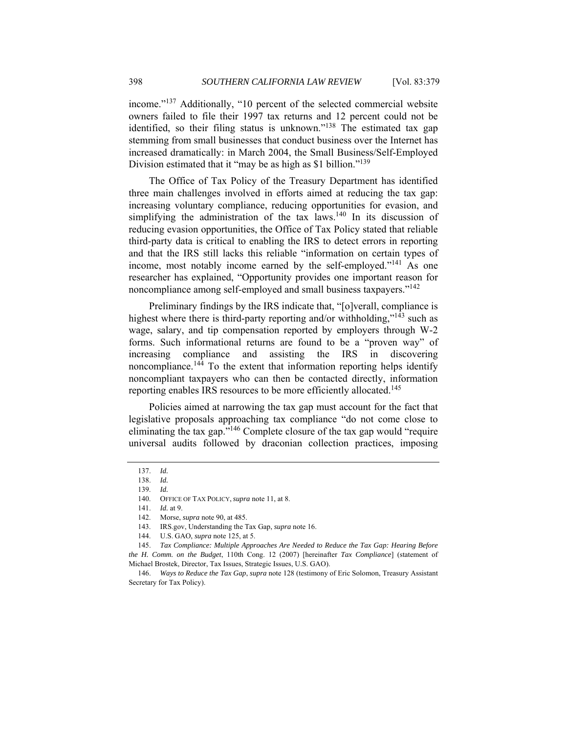income."137 Additionally, "10 percent of the selected commercial website owners failed to file their 1997 tax returns and 12 percent could not be identified, so their filing status is unknown."<sup>138</sup> The estimated tax gap stemming from small businesses that conduct business over the Internet has increased dramatically: in March 2004, the Small Business/Self-Employed Division estimated that it "may be as high as \$1 billion."<sup>139</sup>

The Office of Tax Policy of the Treasury Department has identified three main challenges involved in efforts aimed at reducing the tax gap: increasing voluntary compliance, reducing opportunities for evasion, and simplifying the administration of the tax laws.<sup>140</sup> In its discussion of reducing evasion opportunities, the Office of Tax Policy stated that reliable third-party data is critical to enabling the IRS to detect errors in reporting and that the IRS still lacks this reliable "information on certain types of income, most notably income earned by the self-employed."<sup>141</sup> As one researcher has explained, "Opportunity provides one important reason for noncompliance among self-employed and small business taxpayers."<sup>142</sup>

Preliminary findings by the IRS indicate that, "[o]verall, compliance is highest where there is third-party reporting and/or withholding," $143$  such as wage, salary, and tip compensation reported by employers through W-2 forms. Such informational returns are found to be a "proven way" of increasing compliance and assisting the IRS in discovering noncompliance.144 To the extent that information reporting helps identify noncompliant taxpayers who can then be contacted directly, information reporting enables IRS resources to be more efficiently allocated.<sup>145</sup>

Policies aimed at narrowing the tax gap must account for the fact that legislative proposals approaching tax compliance "do not come close to eliminating the tax gap."146 Complete closure of the tax gap would "require universal audits followed by draconian collection practices, imposing

<sup>137.</sup> *Id.*

<sup>138.</sup> *Id.*

<sup>139.</sup> *Id.*

 <sup>140.</sup> OFFICE OF TAX POLICY, *supra* note 11, at 8.

<sup>141.</sup> *Id.* at 9.

 <sup>142.</sup> Morse, *supra* note 90, at 485.

 <sup>143.</sup> IRS.gov, Understanding the Tax Gap, *supra* note 16.

 <sup>144.</sup> U.S. GAO, *supra* note 125, at 5.

 <sup>145.</sup> *Tax Compliance: Multiple Approaches Are Needed to Reduce the Tax Gap: Hearing Before the H. Comm. on the Budget*, 110th Cong. 12 (2007) [hereinafter *Tax Compliance*] (statement of Michael Brostek, Director, Tax Issues, Strategic Issues, U.S. GAO).

 <sup>146.</sup> *Ways to Reduce the Tax Gap*, *supra* note 128 (testimony of Eric Solomon, Treasury Assistant Secretary for Tax Policy).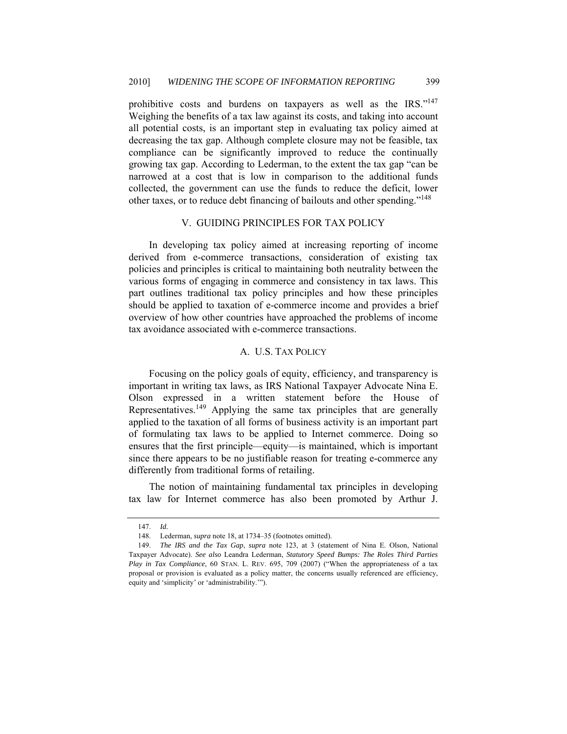prohibitive costs and burdens on taxpayers as well as the IRS."147 Weighing the benefits of a tax law against its costs, and taking into account all potential costs, is an important step in evaluating tax policy aimed at decreasing the tax gap. Although complete closure may not be feasible, tax compliance can be significantly improved to reduce the continually growing tax gap. According to Lederman, to the extent the tax gap "can be narrowed at a cost that is low in comparison to the additional funds collected, the government can use the funds to reduce the deficit, lower other taxes, or to reduce debt financing of bailouts and other spending."148

#### V. GUIDING PRINCIPLES FOR TAX POLICY

In developing tax policy aimed at increasing reporting of income derived from e-commerce transactions, consideration of existing tax policies and principles is critical to maintaining both neutrality between the various forms of engaging in commerce and consistency in tax laws. This part outlines traditional tax policy principles and how these principles should be applied to taxation of e-commerce income and provides a brief overview of how other countries have approached the problems of income tax avoidance associated with e-commerce transactions.

## A. U.S. TAX POLICY

Focusing on the policy goals of equity, efficiency, and transparency is important in writing tax laws, as IRS National Taxpayer Advocate Nina E. Olson expressed in a written statement before the House of Representatives.<sup>149</sup> Applying the same tax principles that are generally applied to the taxation of all forms of business activity is an important part of formulating tax laws to be applied to Internet commerce. Doing so ensures that the first principle—equity—is maintained, which is important since there appears to be no justifiable reason for treating e-commerce any differently from traditional forms of retailing.

The notion of maintaining fundamental tax principles in developing tax law for Internet commerce has also been promoted by Arthur J.

<sup>147.</sup> *Id.*

 <sup>148.</sup> Lederman, *supra* note 18, at 1734–35 (footnotes omitted).

 <sup>149.</sup> *The IRS and the Tax Gap*, *supra* note 123, at 3 (statement of Nina E. Olson, National Taxpayer Advocate). *See also* Leandra Lederman, *Statutory Speed Bumps: The Roles Third Parties Play in Tax Compliance*, 60 STAN. L. REV. 695, 709 (2007) ("When the appropriateness of a tax proposal or provision is evaluated as a policy matter, the concerns usually referenced are efficiency, equity and 'simplicity' or 'administrability.'").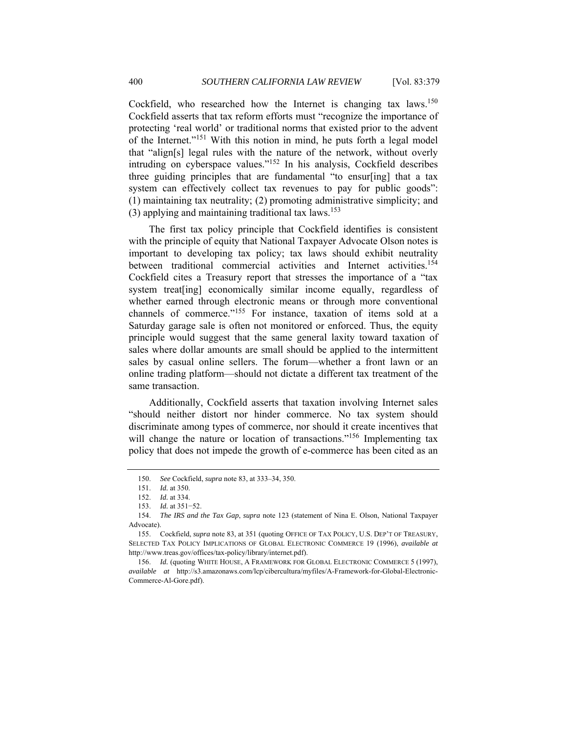Cockfield, who researched how the Internet is changing tax laws.<sup>150</sup> Cockfield asserts that tax reform efforts must "recognize the importance of protecting 'real world' or traditional norms that existed prior to the advent of the Internet."151 With this notion in mind, he puts forth a legal model that "align[s] legal rules with the nature of the network, without overly intruding on cyberspace values."152 In his analysis, Cockfield describes three guiding principles that are fundamental "to ensur[ing] that a tax system can effectively collect tax revenues to pay for public goods": (1) maintaining tax neutrality; (2) promoting administrative simplicity; and (3) applying and maintaining traditional tax laws.<sup>153</sup>

The first tax policy principle that Cockfield identifies is consistent with the principle of equity that National Taxpayer Advocate Olson notes is important to developing tax policy; tax laws should exhibit neutrality between traditional commercial activities and Internet activities.<sup>154</sup> Cockfield cites a Treasury report that stresses the importance of a "tax system treat [ing] economically similar income equally, regardless of whether earned through electronic means or through more conventional channels of commerce."155 For instance, taxation of items sold at a Saturday garage sale is often not monitored or enforced. Thus, the equity principle would suggest that the same general laxity toward taxation of sales where dollar amounts are small should be applied to the intermittent sales by casual online sellers. The forum—whether a front lawn or an online trading platform—should not dictate a different tax treatment of the same transaction.

Additionally, Cockfield asserts that taxation involving Internet sales "should neither distort nor hinder commerce. No tax system should discriminate among types of commerce, nor should it create incentives that will change the nature or location of transactions."<sup>156</sup> Implementing tax policy that does not impede the growth of e-commerce has been cited as an

 <sup>150.</sup> *See* Cockfield, *supra* note 83, at 333–34, 350.

<sup>151.</sup> *Id.* at 350.

 <sup>152.</sup> *Id.* at 334.

<sup>153.</sup> *Id.* at 351−52.

 <sup>154.</sup> *The IRS and the Tax Gap*, *supra* note 123 (statement of Nina E. Olson, National Taxpayer Advocate).

<sup>155.</sup> Cockfield, *supra* note 83, at 351 (quoting OFFICE OF TAX POLICY, U.S. DEP'T OF TREASURY, SELECTED TAX POLICY IMPLICATIONS OF GLOBAL ELECTRONIC COMMERCE 19 (1996), *available at* http://www.treas.gov/offices/tax-policy/library/internet.pdf).

<sup>156.</sup> *Id.* (quoting WHITE HOUSE, A FRAMEWORK FOR GLOBAL ELECTRONIC COMMERCE 5 (1997), *available at* http://s3.amazonaws.com/lcp/cibercultura/myfiles/A-Framework-for-Global-Electronic-Commerce-Al-Gore.pdf).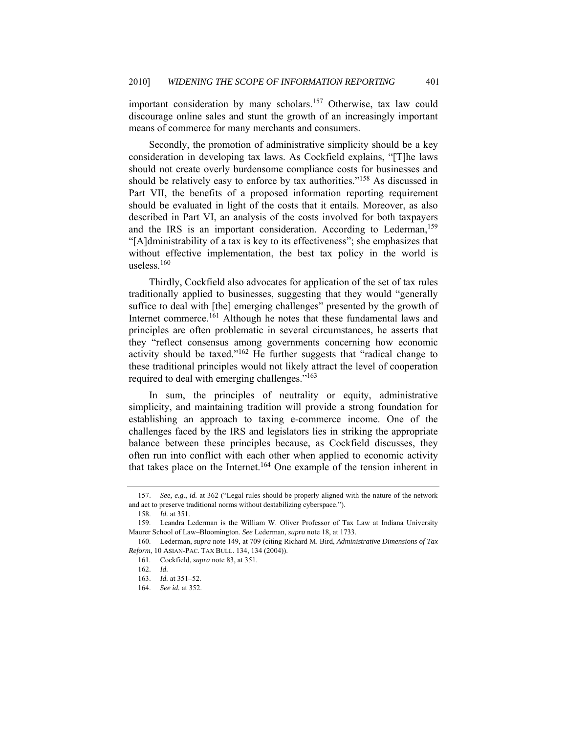important consideration by many scholars.<sup>157</sup> Otherwise, tax law could discourage online sales and stunt the growth of an increasingly important means of commerce for many merchants and consumers.

Secondly, the promotion of administrative simplicity should be a key consideration in developing tax laws. As Cockfield explains, "[T]he laws should not create overly burdensome compliance costs for businesses and should be relatively easy to enforce by tax authorities."<sup>158</sup> As discussed in Part VII, the benefits of a proposed information reporting requirement should be evaluated in light of the costs that it entails. Moreover, as also described in Part VI, an analysis of the costs involved for both taxpayers and the IRS is an important consideration. According to Lederman,<sup>159</sup> "[A]dministrability of a tax is key to its effectiveness"; she emphasizes that without effective implementation, the best tax policy in the world is useless.<sup>160</sup>

Thirdly, Cockfield also advocates for application of the set of tax rules traditionally applied to businesses, suggesting that they would "generally suffice to deal with [the] emerging challenges" presented by the growth of Internet commerce.161 Although he notes that these fundamental laws and principles are often problematic in several circumstances, he asserts that they "reflect consensus among governments concerning how economic activity should be taxed."162 He further suggests that "radical change to these traditional principles would not likely attract the level of cooperation required to deal with emerging challenges."163

In sum, the principles of neutrality or equity, administrative simplicity, and maintaining tradition will provide a strong foundation for establishing an approach to taxing e-commerce income. One of the challenges faced by the IRS and legislators lies in striking the appropriate balance between these principles because, as Cockfield discusses, they often run into conflict with each other when applied to economic activity that takes place on the Internet.<sup>164</sup> One example of the tension inherent in

<sup>157.</sup> *See, e.g.*, *id.* at 362 ("Legal rules should be properly aligned with the nature of the network and act to preserve traditional norms without destabilizing cyberspace.").

<sup>158.</sup> *Id.* at 351.

 <sup>159.</sup> Leandra Lederman is the William W. Oliver Professor of Tax Law at Indiana University Maurer School of Law–Bloomington. *See* Lederman, *supra* note 18, at 1733.

 <sup>160.</sup> Lederman, *supra* note 149, at 709 (citing Richard M. Bird, *Administrative Dimensions of Tax Reform*, 10 ASIAN-PAC. TAX BULL. 134, 134 (2004)).

 <sup>161.</sup> Cockfield, *supra* note 83, at 351.

 <sup>162.</sup> *Id.*

<sup>163.</sup> *Id.* at 351–52.

<sup>164.</sup> *See id.* at 352.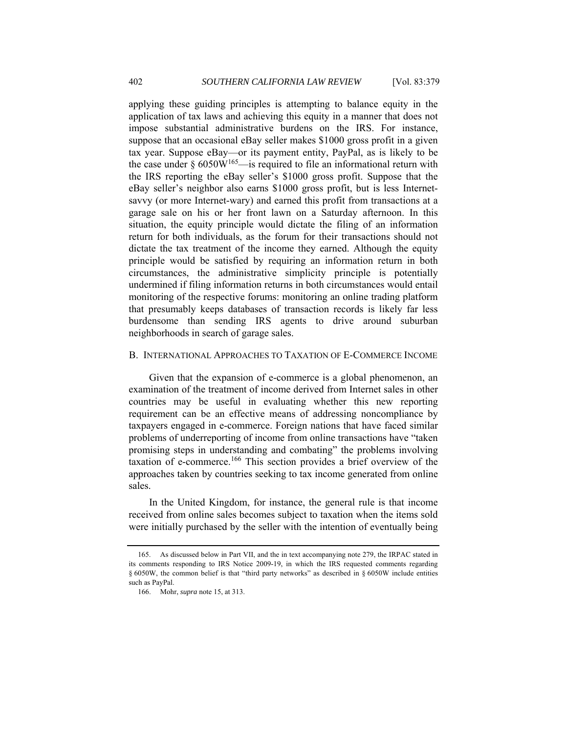applying these guiding principles is attempting to balance equity in the application of tax laws and achieving this equity in a manner that does not impose substantial administrative burdens on the IRS. For instance, suppose that an occasional eBay seller makes \$1000 gross profit in a given tax year. Suppose eBay—or its payment entity, PayPal, as is likely to be the case under  $\S 6050W^{165}$ —is required to file an informational return with the IRS reporting the eBay seller's \$1000 gross profit. Suppose that the eBay seller's neighbor also earns \$1000 gross profit, but is less Internetsavvy (or more Internet-wary) and earned this profit from transactions at a garage sale on his or her front lawn on a Saturday afternoon. In this situation, the equity principle would dictate the filing of an information return for both individuals, as the forum for their transactions should not dictate the tax treatment of the income they earned. Although the equity principle would be satisfied by requiring an information return in both circumstances, the administrative simplicity principle is potentially undermined if filing information returns in both circumstances would entail monitoring of the respective forums: monitoring an online trading platform that presumably keeps databases of transaction records is likely far less burdensome than sending IRS agents to drive around suburban neighborhoods in search of garage sales.

#### B. INTERNATIONAL APPROACHES TO TAXATION OF E-COMMERCE INCOME

Given that the expansion of e-commerce is a global phenomenon, an examination of the treatment of income derived from Internet sales in other countries may be useful in evaluating whether this new reporting requirement can be an effective means of addressing noncompliance by taxpayers engaged in e-commerce. Foreign nations that have faced similar problems of underreporting of income from online transactions have "taken promising steps in understanding and combating" the problems involving taxation of e-commerce.166 This section provides a brief overview of the approaches taken by countries seeking to tax income generated from online sales.

In the United Kingdom, for instance, the general rule is that income received from online sales becomes subject to taxation when the items sold were initially purchased by the seller with the intention of eventually being

 <sup>165.</sup> As discussed below in Part VII, and the in text accompanying note 279, the IRPAC stated in its comments responding to IRS Notice 2009-19, in which the IRS requested comments regarding § 6050W, the common belief is that "third party networks" as described in § 6050W include entities such as PayPal.

 <sup>166.</sup> Mohr, *supra* note 15, at 313.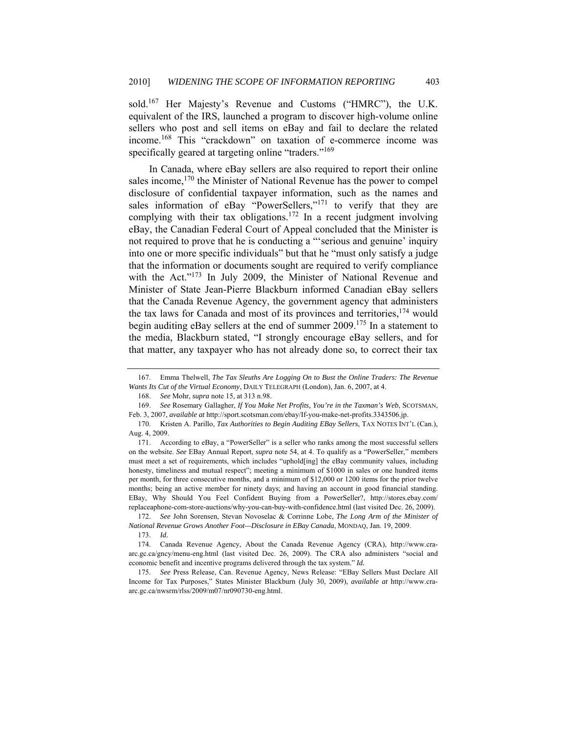sold.<sup>167</sup> Her Majesty's Revenue and Customs ("HMRC"), the U.K. equivalent of the IRS, launched a program to discover high-volume online sellers who post and sell items on eBay and fail to declare the related income.168 This "crackdown" on taxation of e-commerce income was specifically geared at targeting online "traders."<sup>169</sup>

In Canada, where eBay sellers are also required to report their online sales income,<sup>170</sup> the Minister of National Revenue has the power to compel disclosure of confidential taxpayer information, such as the names and sales information of eBay "PowerSellers," $171$  to verify that they are complying with their tax obligations.<sup>172</sup> In a recent judgment involving eBay, the Canadian Federal Court of Appeal concluded that the Minister is not required to prove that he is conducting a "'serious and genuine' inquiry into one or more specific individuals" but that he "must only satisfy a judge that the information or documents sought are required to verify compliance with the Act."<sup>173</sup> In July 2009, the Minister of National Revenue and Minister of State Jean-Pierre Blackburn informed Canadian eBay sellers that the Canada Revenue Agency, the government agency that administers the tax laws for Canada and most of its provinces and territories,  $174$  would begin auditing eBay sellers at the end of summer 2009.<sup>175</sup> In a statement to the media, Blackburn stated, "I strongly encourage eBay sellers, and for that matter, any taxpayer who has not already done so, to correct their tax

 174. Canada Revenue Agency, About the Canada Revenue Agency (CRA), http://www.craarc.gc.ca/gncy/menu-eng.html (last visited Dec. 26, 2009). The CRA also administers "social and economic benefit and incentive programs delivered through the tax system." *Id.* 

 175. *See* Press Release, Can. Revenue Agency, News Release: "EBay Sellers Must Declare All Income for Tax Purposes," States Minister Blackburn (July 30, 2009), *available at* http://www.craarc.gc.ca/nwsrm/rlss/2009/m07/nr090730-eng.html.

 <sup>167.</sup> Emma Thelwell, *The Tax Sleuths Are Logging On to Bust the Online Traders: The Revenue Wants Its Cut of the Virtual Economy*, DAILY TELEGRAPH (London), Jan. 6, 2007, at 4.

 <sup>168.</sup> *See* Mohr, *supra* note 15, at 313 n.98.

 <sup>169.</sup> *See* Rosemary Gallagher, *If You Make Net Profits, You're in the Taxman's Web*, SCOTSMAN, Feb. 3, 2007, *available at* http://sport.scotsman.com/ebay/If-you-make-net-profits.3343506.jp.

 <sup>170.</sup> Kristen A. Parillo, *Tax Authorities to Begin Auditing EBay Sellers*, TAX NOTES INT'L (Can.), Aug. 4, 2009.

 <sup>171.</sup> According to eBay, a "PowerSeller" is a seller who ranks among the most successful sellers on the website. *See* EBay Annual Report, *supra* note 54, at 4. To qualify as a "PowerSeller," members must meet a set of requirements, which includes "uphold[ing] the eBay community values, including honesty, timeliness and mutual respect"; meeting a minimum of \$1000 in sales or one hundred items per month, for three consecutive months, and a minimum of \$12,000 or 1200 items for the prior twelve months; being an active member for ninety days; and having an account in good financial standing. EBay, Why Should You Feel Confident Buying from a PowerSeller?, http://stores.ebay.com/ replaceaphone-com-store-auctions/why-you-can-buy-with-confidence.html (last visited Dec. 26, 2009).

 <sup>172.</sup> *See* John Sorensen, Stevan Novoselac & Corrinne Lobe, *The Long Arm of the Minister of National Revenue Grows Another Foot—Disclosure in EBay Canada*, MONDAQ, Jan. 19, 2009.

<sup>173.</sup> *Id.*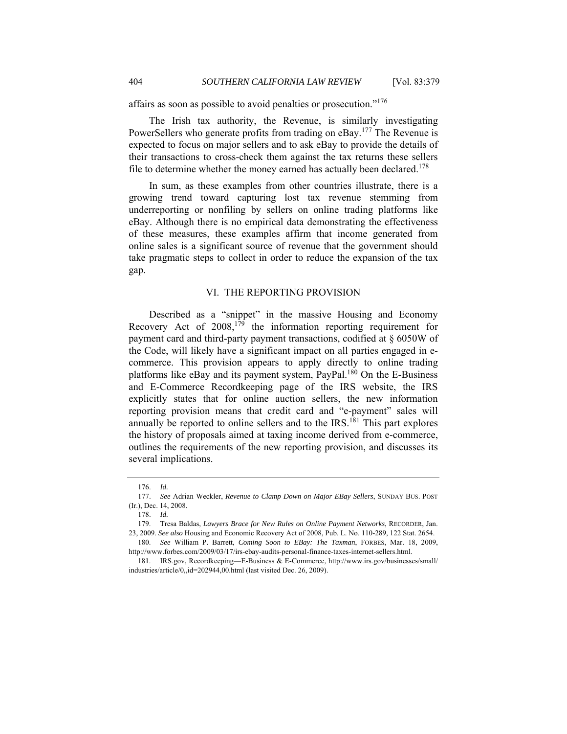affairs as soon as possible to avoid penalties or prosecution."176

The Irish tax authority, the Revenue, is similarly investigating PowerSellers who generate profits from trading on eBay.<sup>177</sup> The Revenue is expected to focus on major sellers and to ask eBay to provide the details of their transactions to cross-check them against the tax returns these sellers file to determine whether the money earned has actually been declared.<sup>178</sup>

In sum, as these examples from other countries illustrate, there is a growing trend toward capturing lost tax revenue stemming from underreporting or nonfiling by sellers on online trading platforms like eBay. Although there is no empirical data demonstrating the effectiveness of these measures, these examples affirm that income generated from online sales is a significant source of revenue that the government should take pragmatic steps to collect in order to reduce the expansion of the tax gap.

#### VI. THE REPORTING PROVISION

Described as a "snippet" in the massive Housing and Economy Recovery Act of  $2008$ ,<sup>179</sup> the information reporting requirement for payment card and third-party payment transactions, codified at § 6050W of the Code, will likely have a significant impact on all parties engaged in ecommerce. This provision appears to apply directly to online trading platforms like  $e$ Bay and its payment system, PayPal.<sup>180</sup> On the E-Business and E-Commerce Recordkeeping page of the IRS website, the IRS explicitly states that for online auction sellers, the new information reporting provision means that credit card and "e-payment" sales will annually be reported to online sellers and to the  $IRS$ .<sup>181</sup> This part explores the history of proposals aimed at taxing income derived from e-commerce, outlines the requirements of the new reporting provision, and discusses its several implications.

 <sup>176.</sup> *Id.*

 <sup>177.</sup> *See* Adrian Weckler, *Revenue to Clamp Down on Major EBay Sellers*, SUNDAY BUS. POST (Ir.), Dec. 14, 2008.

<sup>178.</sup> *Id.*

 <sup>179.</sup> Tresa Baldas, *Lawyers Brace for New Rules on Online Payment Networks*, RECORDER, Jan. 23, 2009. *See also* Housing and Economic Recovery Act of 2008, Pub. L. No. 110-289, 122 Stat. 2654.

 <sup>180.</sup> *See* William P. Barrett, *Coming Soon to EBay: The Taxman*, FORBES, Mar. 18, 2009, http://www.forbes.com/2009/03/17/irs-ebay-audits-personal-finance-taxes-internet-sellers.html.

 <sup>181.</sup> IRS.gov, Recordkeeping—E-Business & E-Commerce, http://www.irs.gov/businesses/small/ industries/article/0,,id=202944,00.html (last visited Dec. 26, 2009).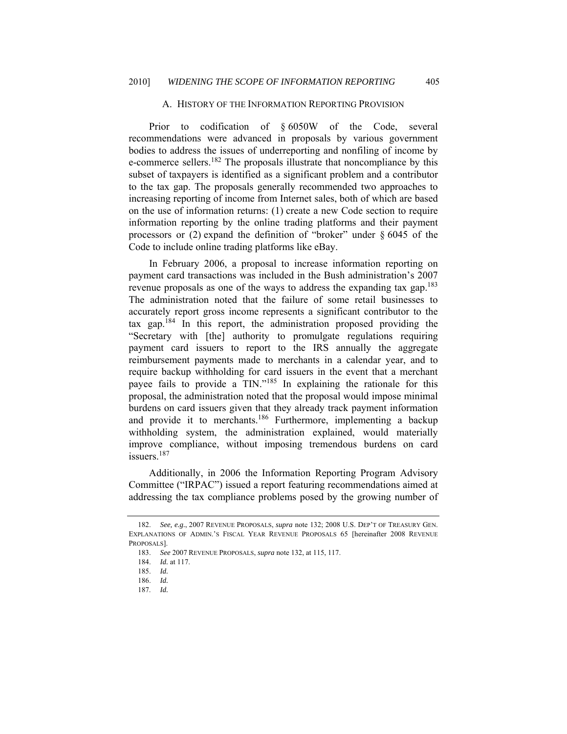#### A. HISTORY OF THE INFORMATION REPORTING PROVISION

Prior to codification of § 6050W of the Code, several recommendations were advanced in proposals by various government bodies to address the issues of underreporting and nonfiling of income by e-commerce sellers.<sup>182</sup> The proposals illustrate that noncompliance by this subset of taxpayers is identified as a significant problem and a contributor to the tax gap. The proposals generally recommended two approaches to increasing reporting of income from Internet sales, both of which are based on the use of information returns: (1) create a new Code section to require information reporting by the online trading platforms and their payment processors or  $(2)$  expand the definition of "broker" under § 6045 of the Code to include online trading platforms like eBay.

In February 2006, a proposal to increase information reporting on payment card transactions was included in the Bush administration's 2007 revenue proposals as one of the ways to address the expanding tax gap.<sup>183</sup> The administration noted that the failure of some retail businesses to accurately report gross income represents a significant contributor to the tax gap.<sup>184</sup> In this report, the administration proposed providing the "Secretary with [the] authority to promulgate regulations requiring payment card issuers to report to the IRS annually the aggregate reimbursement payments made to merchants in a calendar year, and to require backup withholding for card issuers in the event that a merchant payee fails to provide a TIN."185 In explaining the rationale for this proposal, the administration noted that the proposal would impose minimal burdens on card issuers given that they already track payment information and provide it to merchants.186 Furthermore, implementing a backup withholding system, the administration explained, would materially improve compliance, without imposing tremendous burdens on card issuers<sup>187</sup>

Additionally, in 2006 the Information Reporting Program Advisory Committee ("IRPAC") issued a report featuring recommendations aimed at addressing the tax compliance problems posed by the growing number of

 <sup>182.</sup> *See, e.g.*, 2007 REVENUE PROPOSALS, *supra* note 132; 2008 U.S. DEP'T OF TREASURY GEN. EXPLANATIONS OF ADMIN.'S FISCAL YEAR REVENUE PROPOSALS 65 [hereinafter 2008 REVENUE PROPOSALS].

 <sup>183.</sup> *See* 2007 REVENUE PROPOSALS, *supra* note 132, at 115, 117.

 <sup>184.</sup> *Id.* at 117.

<sup>185.</sup> *Id.* 

<sup>186.</sup> *Id.*

<sup>187.</sup> *Id.*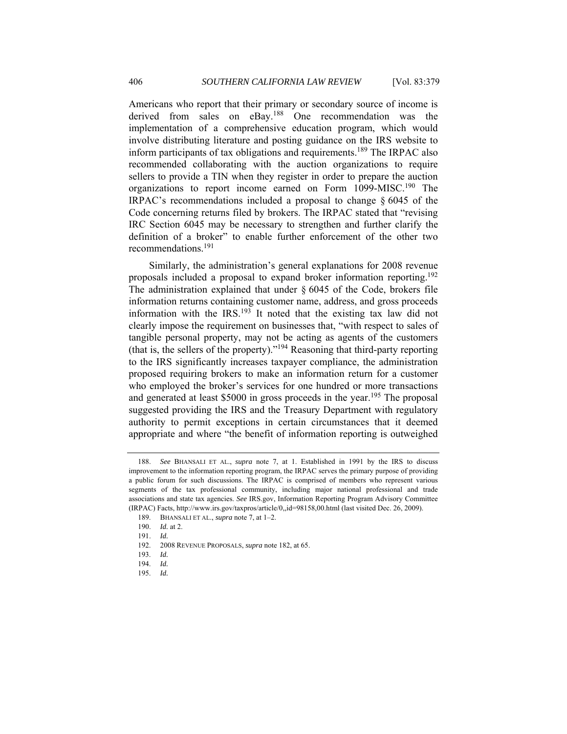Americans who report that their primary or secondary source of income is derived from sales on eBay.<sup>188</sup> One recommendation was the implementation of a comprehensive education program, which would involve distributing literature and posting guidance on the IRS website to inform participants of tax obligations and requirements.<sup>189</sup> The IRPAC also recommended collaborating with the auction organizations to require sellers to provide a TIN when they register in order to prepare the auction organizations to report income earned on Form 1099-MISC.<sup>190</sup> The IRPAC's recommendations included a proposal to change § 6045 of the Code concerning returns filed by brokers. The IRPAC stated that "revising IRC Section 6045 may be necessary to strengthen and further clarify the definition of a broker" to enable further enforcement of the other two recommendations.191

Similarly, the administration's general explanations for 2008 revenue proposals included a proposal to expand broker information reporting.<sup>192</sup> The administration explained that under § 6045 of the Code, brokers file information returns containing customer name, address, and gross proceeds information with the IRS.<sup>193</sup> It noted that the existing tax law did not clearly impose the requirement on businesses that, "with respect to sales of tangible personal property, may not be acting as agents of the customers (that is, the sellers of the property)."194 Reasoning that third-party reporting to the IRS significantly increases taxpayer compliance, the administration proposed requiring brokers to make an information return for a customer who employed the broker's services for one hundred or more transactions and generated at least \$5000 in gross proceeds in the year.<sup>195</sup> The proposal suggested providing the IRS and the Treasury Department with regulatory authority to permit exceptions in certain circumstances that it deemed appropriate and where "the benefit of information reporting is outweighed

 <sup>188.</sup> *See* BHANSALI ET AL., *supra* note 7, at 1. Established in 1991 by the IRS to discuss improvement to the information reporting program, the IRPAC serves the primary purpose of providing a public forum for such discussions. The IRPAC is comprised of members who represent various segments of the tax professional community, including major national professional and trade associations and state tax agencies. *See* IRS.gov, Information Reporting Program Advisory Committee (IRPAC) Facts, http://www.irs.gov/taxpros/article/0,,id=98158,00.html (last visited Dec. 26, 2009).

<sup>189.</sup> BHANSALI ET AL., *supra* note 7, at 1–2.

<sup>190.</sup> *Id.* at 2.

<sup>191.</sup> *Id.*

 <sup>192. 2008</sup> REVENUE PROPOSALS, *supra* note 182, at 65.

<sup>193.</sup> *Id.*

<sup>194.</sup> *Id.*

<sup>195.</sup> *Id.*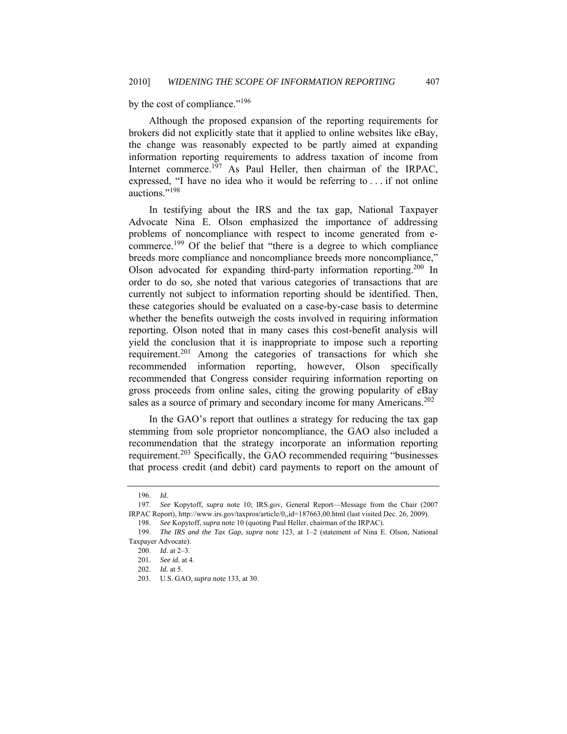by the cost of compliance."<sup>196</sup>

Although the proposed expansion of the reporting requirements for brokers did not explicitly state that it applied to online websites like eBay, the change was reasonably expected to be partly aimed at expanding information reporting requirements to address taxation of income from Internet commerce.<sup>197</sup> As Paul Heller, then chairman of the IRPAC, expressed, "I have no idea who it would be referring to . . . if not online auctions."198

In testifying about the IRS and the tax gap, National Taxpayer Advocate Nina E. Olson emphasized the importance of addressing problems of noncompliance with respect to income generated from ecommerce.199 Of the belief that "there is a degree to which compliance breeds more compliance and noncompliance breeds more noncompliance," Olson advocated for expanding third-party information reporting.200 In order to do so, she noted that various categories of transactions that are currently not subject to information reporting should be identified. Then, these categories should be evaluated on a case-by-case basis to determine whether the benefits outweigh the costs involved in requiring information reporting. Olson noted that in many cases this cost-benefit analysis will yield the conclusion that it is inappropriate to impose such a reporting requirement.201 Among the categories of transactions for which she recommended information reporting, however, Olson specifically recommended that Congress consider requiring information reporting on gross proceeds from online sales, citing the growing popularity of eBay sales as a source of primary and secondary income for many Americans.<sup>202</sup>

In the GAO's report that outlines a strategy for reducing the tax gap stemming from sole proprietor noncompliance, the GAO also included a recommendation that the strategy incorporate an information reporting requirement.203 Specifically, the GAO recommended requiring "businesses that process credit (and debit) card payments to report on the amount of

<sup>196.</sup> *Id.*

 <sup>197.</sup> *See* Kopytoff, *supra* note 10; IRS.gov, General Report—Message from the Chair (2007 IRPAC Report), http://www.irs.gov/taxpros/article/0,,id=187663,00.html (last visited Dec. 26, 2009).

<sup>198.</sup> *See* Kopytoff, *supra* note 10 (quoting Paul Heller, chairman of the IRPAC).

 <sup>199.</sup> *The IRS and the Tax Gap*, *supra* note 123, at 1–2 (statement of Nina E. Olson, National Taxpayer Advocate).

<sup>200.</sup> *Id.* at 2–3.

<sup>201.</sup> *See id.* at 4.

<sup>202.</sup> *Id.* at 5.

 <sup>203.</sup> U.S. GAO, *supra* note 133, at 30.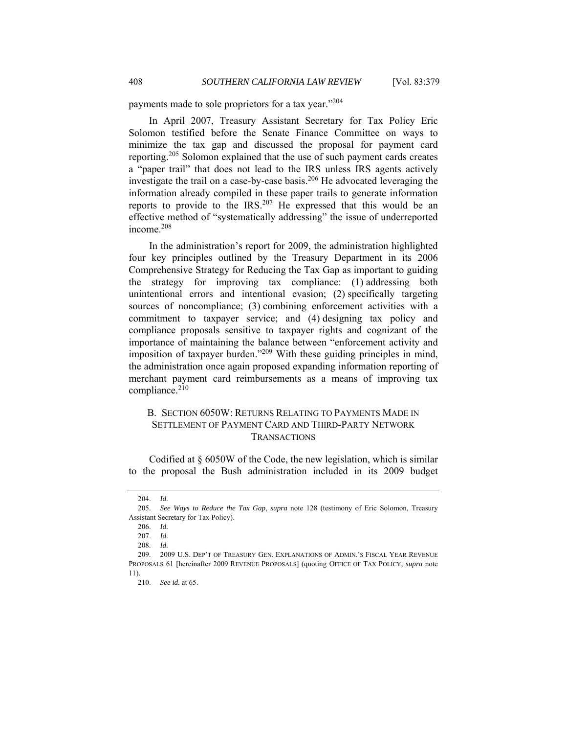payments made to sole proprietors for a tax year."<sup>204</sup>

In April 2007, Treasury Assistant Secretary for Tax Policy Eric Solomon testified before the Senate Finance Committee on ways to minimize the tax gap and discussed the proposal for payment card reporting.205 Solomon explained that the use of such payment cards creates a "paper trail" that does not lead to the IRS unless IRS agents actively investigate the trail on a case-by-case basis.206 He advocated leveraging the information already compiled in these paper trails to generate information reports to provide to the IRS.<sup>207</sup> He expressed that this would be an effective method of "systematically addressing" the issue of underreported income.<sup>208</sup>

In the administration's report for 2009, the administration highlighted four key principles outlined by the Treasury Department in its 2006 Comprehensive Strategy for Reducing the Tax Gap as important to guiding the strategy for improving tax compliance: (1) addressing both unintentional errors and intentional evasion; (2) specifically targeting sources of noncompliance; (3) combining enforcement activities with a commitment to taxpayer service; and (4) designing tax policy and compliance proposals sensitive to taxpayer rights and cognizant of the importance of maintaining the balance between "enforcement activity and imposition of taxpayer burden."209 With these guiding principles in mind, the administration once again proposed expanding information reporting of merchant payment card reimbursements as a means of improving tax compliance.<sup>210</sup>

# B. SECTION 6050W: RETURNS RELATING TO PAYMENTS MADE IN SETTLEMENT OF PAYMENT CARD AND THIRD-PARTY NETWORK TRANSACTIONS

Codified at § 6050W of the Code, the new legislation, which is similar to the proposal the Bush administration included in its 2009 budget

208. *Id.*

<sup>204.</sup> *Id.*

 <sup>205.</sup> *See Ways to Reduce the Tax Gap*, *supra* note 128 (testimony of Eric Solomon, Treasury Assistant Secretary for Tax Policy).

<sup>206.</sup> *Id.*

<sup>207.</sup> *Id.*

<sup>209.</sup> 2009 U.S. DEP'T OF TREASURY GEN. EXPLANATIONS OF ADMIN.'S FISCAL YEAR REVENUE PROPOSALS 61 [hereinafter 2009 REVENUE PROPOSALS] (quoting OFFICE OF TAX POLICY, *supra* note 11).

 <sup>210.</sup> *See id.* at 65.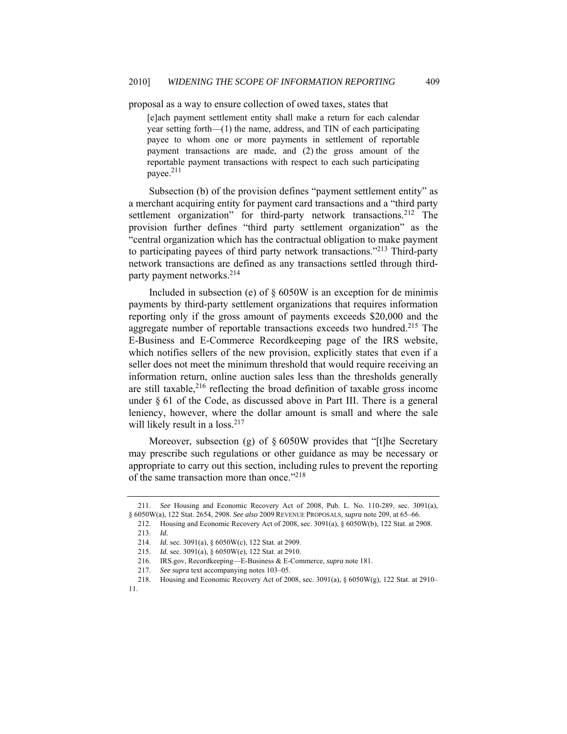proposal as a way to ensure collection of owed taxes, states that

[e]ach payment settlement entity shall make a return for each calendar year setting forth—(1) the name, address, and TIN of each participating payee to whom one or more payments in settlement of reportable payment transactions are made, and (2) the gross amount of the reportable payment transactions with respect to each such participating payee.<sup>211</sup>

Subsection (b) of the provision defines "payment settlement entity" as a merchant acquiring entity for payment card transactions and a "third party settlement organization" for third-party network transactions.<sup>212</sup> The provision further defines "third party settlement organization" as the "central organization which has the contractual obligation to make payment to participating payees of third party network transactions."<sup>213</sup> Third-party network transactions are defined as any transactions settled through thirdparty payment networks.214

Included in subsection (e) of § 6050W is an exception for de minimis payments by third-party settlement organizations that requires information reporting only if the gross amount of payments exceeds \$20,000 and the aggregate number of reportable transactions exceeds two hundred.<sup>215</sup> The E-Business and E-Commerce Recordkeeping page of the IRS website, which notifies sellers of the new provision, explicitly states that even if a seller does not meet the minimum threshold that would require receiving an information return, online auction sales less than the thresholds generally are still taxable, $2^{16}$  reflecting the broad definition of taxable gross income under § 61 of the Code, as discussed above in Part III. There is a general leniency, however, where the dollar amount is small and where the sale will likely result in a loss. $217$ 

Moreover, subsection (g) of § 6050W provides that "[t]he Secretary may prescribe such regulations or other guidance as may be necessary or appropriate to carry out this section, including rules to prevent the reporting of the same transaction more than once."<sup>218</sup>

 <sup>211.</sup> *See* Housing and Economic Recovery Act of 2008, Pub. L. No. 110-289, sec. 3091(a), § 6050W(a), 122 Stat. 2654, 2908. *See also* 2009 REVENUE PROPOSALS, *supra* note 209, at 65–66.

<sup>212.</sup> Housing and Economic Recovery Act of 2008, sec. 3091(a), § 6050W(b), 122 Stat. at 2908.

<sup>213.</sup> *Id.* 

<sup>214.</sup> *Id.* sec. 3091(a), § 6050W(c), 122 Stat. at 2909.

<sup>215.</sup> *Id.* sec. 3091(a), § 6050W(e), 122 Stat. at 2910.

 <sup>216.</sup> IRS.gov, Recordkeeping—E-Business & E-Commerce, *supra* note 181.

 <sup>217.</sup> *See supra* text accompanying notes 103–05.

 <sup>218.</sup> Housing and Economic Recovery Act of 2008, sec. 3091(a), § 6050W(g), 122 Stat. at 2910– 11.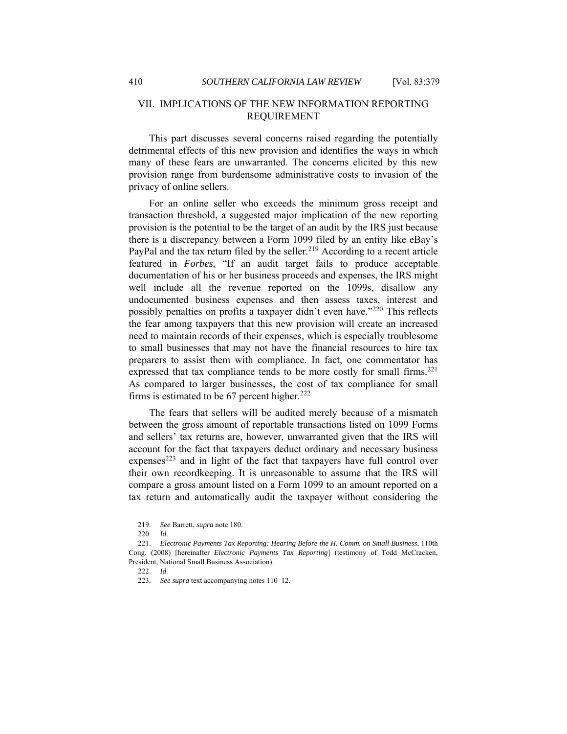# VII. IMPLICATIONS OF THE NEW INFORMATION REPORTING REQUIREMENT

This part discusses several concerns raised regarding the potentially detrimental effects of this new provision and identifies the ways in which many of these fears are unwarranted. The concerns elicited by this new provision range from burdensome administrative costs to invasion of the privacy of online sellers.

For an online seller who exceeds the minimum gross receipt and transaction threshold, a suggested major implication of the new reporting provision is the potential to be the target of an audit by the IRS just because there is a discrepancy between a Form 1099 filed by an entity like eBay's PayPal and the tax return filed by the seller.<sup>219</sup> According to a recent article featured in *Forbes*, "If an audit target fails to produce acceptable documentation of his or her business proceeds and expenses, the IRS might well include all the revenue reported on the 1099s, disallow any undocumented business expenses and then assess taxes, interest and possibly penalties on profits a taxpayer didn't even have."220 This reflects the fear among taxpayers that this new provision will create an increased need to maintain records of their expenses, which is especially troublesome to small businesses that may not have the financial resources to hire tax preparers to assist them with compliance. In fact, one commentator has expressed that tax compliance tends to be more costly for small firms.<sup>221</sup> As compared to larger businesses, the cost of tax compliance for small firms is estimated to be 67 percent higher. $222$ 

The fears that sellers will be audited merely because of a mismatch between the gross amount of reportable transactions listed on 1099 Forms and sellers' tax returns are, however, unwarranted given that the IRS will account for the fact that taxpayers deduct ordinary and necessary business expenses<sup>223</sup> and in light of the fact that taxpayers have full control over their own recordkeeping. It is unreasonable to assume that the IRS will compare a gross amount listed on a Form 1099 to an amount reported on a tax return and automatically audit the taxpayer without considering the

 <sup>219.</sup> *See* Barrett, *supra* note 180.

<sup>220.</sup> *Id.* 

 <sup>221.</sup> *Electronic Payments Tax Reporting: Hearing Before the H. Comm. on Small Business*, 110th Cong. (2008) [hereinafter *Electronic Payments Tax Reporting*] (testimony of Todd McCracken, President, National Small Business Association).

<sup>222.</sup> *Id.*

 <sup>223.</sup> *See supra* text accompanying notes 110–12.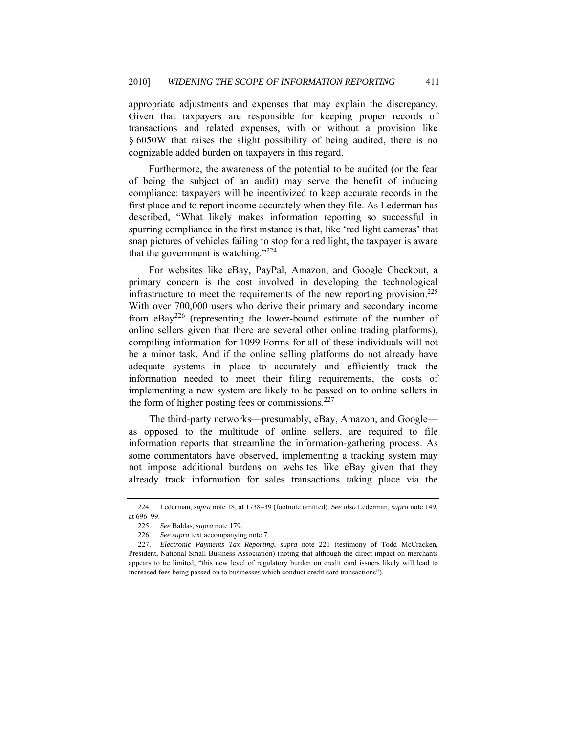appropriate adjustments and expenses that may explain the discrepancy. Given that taxpayers are responsible for keeping proper records of transactions and related expenses, with or without a provision like § 6050W that raises the slight possibility of being audited, there is no cognizable added burden on taxpayers in this regard.

Furthermore, the awareness of the potential to be audited (or the fear of being the subject of an audit) may serve the benefit of inducing compliance: taxpayers will be incentivized to keep accurate records in the first place and to report income accurately when they file. As Lederman has described, "What likely makes information reporting so successful in spurring compliance in the first instance is that, like 'red light cameras' that snap pictures of vehicles failing to stop for a red light, the taxpayer is aware that the government is watching."224

For websites like eBay, PayPal, Amazon, and Google Checkout, a primary concern is the cost involved in developing the technological infrastructure to meet the requirements of the new reporting provision.<sup>225</sup> With over 700,000 users who derive their primary and secondary income from  $eBay^{226}$  (representing the lower-bound estimate of the number of online sellers given that there are several other online trading platforms), compiling information for 1099 Forms for all of these individuals will not be a minor task. And if the online selling platforms do not already have adequate systems in place to accurately and efficiently track the information needed to meet their filing requirements, the costs of implementing a new system are likely to be passed on to online sellers in the form of higher posting fees or commissions. $227$ 

The third-party networks—presumably, eBay, Amazon, and Google as opposed to the multitude of online sellers, are required to file information reports that streamline the information-gathering process. As some commentators have observed, implementing a tracking system may not impose additional burdens on websites like eBay given that they already track information for sales transactions taking place via the

 <sup>224.</sup> Lederman, *supra* note 18, at 1738–39 (footnote omitted). *See also* Lederman, *supra* note 149, at 696–99.

 <sup>225.</sup> *See* Baldas, *supra* note 179.

 <sup>226.</sup> *See supra* text accompanying note 7.

 <sup>227.</sup> *Electronic Payments Tax Reporting*, *supra* note 221 (testimony of Todd McCracken, President, National Small Business Association) (noting that although the direct impact on merchants appears to be limited, "this new level of regulatory burden on credit card issuers likely will lead to increased fees being passed on to businesses which conduct credit card transactions").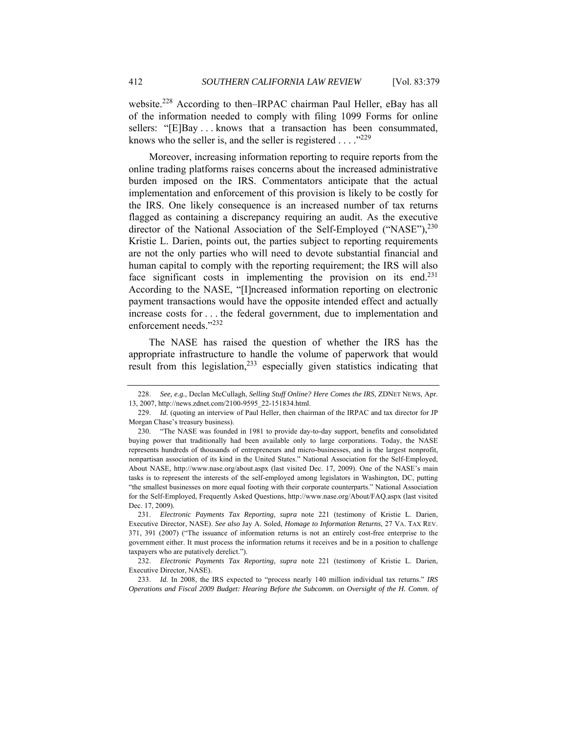website.<sup>228</sup> According to then–IRPAC chairman Paul Heller, eBay has all of the information needed to comply with filing 1099 Forms for online sellers: "[E]Bay ... knows that a transaction has been consummated, knows who the seller is, and the seller is registered  $\dots$  ."<sup>229</sup>

Moreover, increasing information reporting to require reports from the online trading platforms raises concerns about the increased administrative burden imposed on the IRS. Commentators anticipate that the actual implementation and enforcement of this provision is likely to be costly for the IRS. One likely consequence is an increased number of tax returns flagged as containing a discrepancy requiring an audit. As the executive director of the National Association of the Self-Employed ("NASE"), $^{230}$ Kristie L. Darien, points out, the parties subject to reporting requirements are not the only parties who will need to devote substantial financial and human capital to comply with the reporting requirement; the IRS will also face significant costs in implementing the provision on its end.<sup>231</sup> According to the NASE, "[I]ncreased information reporting on electronic payment transactions would have the opposite intended effect and actually increase costs for . . . the federal government, due to implementation and enforcement needs."232

The NASE has raised the question of whether the IRS has the appropriate infrastructure to handle the volume of paperwork that would result from this legislation,<sup>233</sup> especially given statistics indicating that

 <sup>228.</sup> *See, e.g.*, Declan McCullagh, *Selling Stuff Online? Here Comes the IRS*, ZDNET NEWS, Apr. 13, 2007, http://news.zdnet.com/2100-9595\_22-151834.html.

<sup>229.</sup> *Id.* (quoting an interview of Paul Heller, then chairman of the IRPAC and tax director for JP Morgan Chase's treasury business).

 <sup>230. &</sup>quot;The NASE was founded in 1981 to provide day-to-day support, benefits and consolidated buying power that traditionally had been available only to large corporations. Today, the NASE represents hundreds of thousands of entrepreneurs and micro-businesses, and is the largest nonprofit, nonpartisan association of its kind in the United States." National Association for the Self-Employed, About NASE, http://www.nase.org/about.aspx (last visited Dec. 17, 2009). One of the NASE's main tasks is to represent the interests of the self-employed among legislators in Washington, DC, putting "the smallest businesses on more equal footing with their corporate counterparts." National Association for the Self-Employed, Frequently Asked Questions, http://www.nase.org/About/FAQ.aspx (last visited Dec. 17, 2009).

<sup>231.</sup> *Electronic Payments Tax Reporting*, *supra* note 221 (testimony of Kristie L. Darien, Executive Director, NASE). *See also* Jay A. Soled, *Homage to Information Returns*, 27 VA. TAX REV. 371, 391 (2007) ("The issuance of information returns is not an entirely cost-free enterprise to the government either. It must process the information returns it receives and be in a position to challenge taxpayers who are putatively derelict.").

 <sup>232.</sup> *Electronic Payments Tax Reporting*, *supra* note 221 (testimony of Kristie L. Darien, Executive Director, NASE).

<sup>233.</sup> *Id.* In 2008, the IRS expected to "process nearly 140 million individual tax returns." *IRS Operations and Fiscal 2009 Budget: Hearing Before the Subcomm. on Oversight of the H. Comm. of*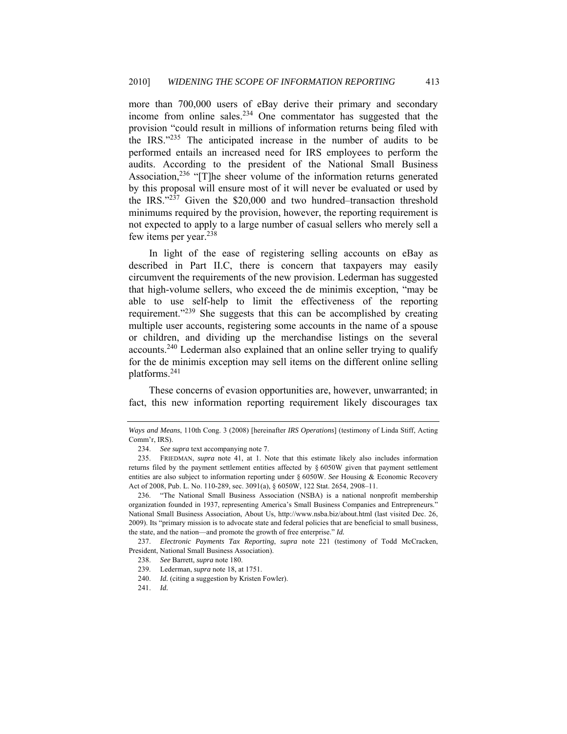more than 700,000 users of eBay derive their primary and secondary income from online sales.<sup>234</sup> One commentator has suggested that the provision "could result in millions of information returns being filed with the IRS."235 The anticipated increase in the number of audits to be performed entails an increased need for IRS employees to perform the audits. According to the president of the National Small Business Association,<sup>236</sup> "[T]he sheer volume of the information returns generated by this proposal will ensure most of it will never be evaluated or used by the IRS. $22\overline{37}$  Given the \$20,000 and two hundred–transaction threshold minimums required by the provision, however, the reporting requirement is not expected to apply to a large number of casual sellers who merely sell a few items per year.238

In light of the ease of registering selling accounts on eBay as described in Part II.C, there is concern that taxpayers may easily circumvent the requirements of the new provision. Lederman has suggested that high-volume sellers, who exceed the de minimis exception, "may be able to use self-help to limit the effectiveness of the reporting requirement."<sup>239</sup> She suggests that this can be accomplished by creating multiple user accounts, registering some accounts in the name of a spouse or children, and dividing up the merchandise listings on the several accounts.240 Lederman also explained that an online seller trying to qualify for the de minimis exception may sell items on the different online selling platforms.241

These concerns of evasion opportunities are, however, unwarranted; in fact, this new information reporting requirement likely discourages tax

*Ways and Means*, 110th Cong. 3 (2008) [hereinafter *IRS Operations*] (testimony of Linda Stiff, Acting Comm'r, IRS).

 <sup>234.</sup> *See supra* text accompanying note 7.

 <sup>235.</sup> FRIEDMAN, *supra* note 41, at 1. Note that this estimate likely also includes information returns filed by the payment settlement entities affected by § 6050W given that payment settlement entities are also subject to information reporting under § 6050W. *See* Housing & Economic Recovery Act of 2008, Pub. L. No. 110-289, sec. 3091(a), § 6050W, 122 Stat. 2654, 2908–11.

 <sup>236. &</sup>quot;The National Small Business Association (NSBA) is a national nonprofit membership organization founded in 1937, representing America's Small Business Companies and Entrepreneurs." National Small Business Association, About Us, http://www.nsba.biz/about.html (last visited Dec. 26, 2009). Its "primary mission is to advocate state and federal policies that are beneficial to small business, the state, and the nation—and promote the growth of free enterprise." *Id.*

 <sup>237.</sup> *Electronic Payments Tax Reporting*, *supra* note 221 (testimony of Todd McCracken, President, National Small Business Association).

 <sup>238.</sup> *See* Barrett, *supra* note 180.

 <sup>239.</sup> Lederman, *supra* note 18, at 1751.

<sup>240.</sup> Id. (citing a suggestion by Kristen Fowler).

<sup>241.</sup> *Id.*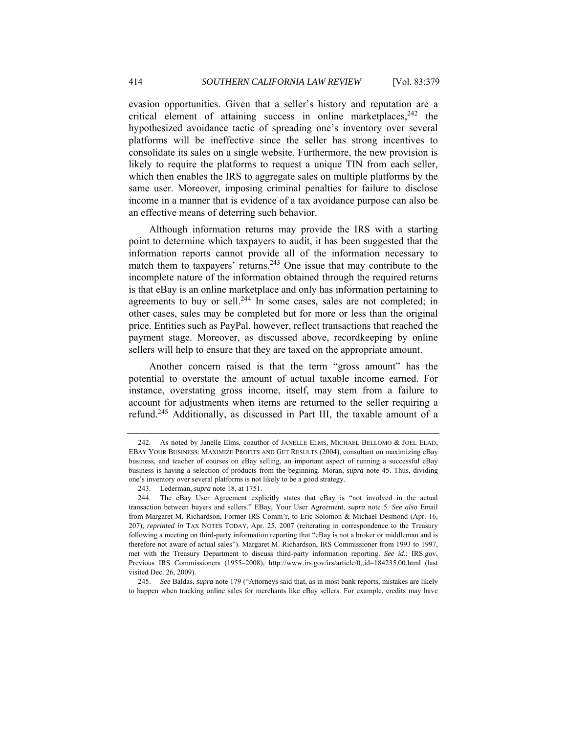evasion opportunities. Given that a seller's history and reputation are a critical element of attaining success in online marketplaces,  $242$  the hypothesized avoidance tactic of spreading one's inventory over several platforms will be ineffective since the seller has strong incentives to consolidate its sales on a single website. Furthermore, the new provision is likely to require the platforms to request a unique TIN from each seller, which then enables the IRS to aggregate sales on multiple platforms by the same user. Moreover, imposing criminal penalties for failure to disclose income in a manner that is evidence of a tax avoidance purpose can also be an effective means of deterring such behavior.

Although information returns may provide the IRS with a starting point to determine which taxpayers to audit, it has been suggested that the information reports cannot provide all of the information necessary to match them to taxpayers' returns.243 One issue that may contribute to the incomplete nature of the information obtained through the required returns is that eBay is an online marketplace and only has information pertaining to agreements to buy or sell.<sup>244</sup> In some cases, sales are not completed; in other cases, sales may be completed but for more or less than the original price. Entities such as PayPal, however, reflect transactions that reached the payment stage. Moreover, as discussed above, recordkeeping by online sellers will help to ensure that they are taxed on the appropriate amount.

Another concern raised is that the term "gross amount" has the potential to overstate the amount of actual taxable income earned. For instance, overstating gross income, itself, may stem from a failure to account for adjustments when items are returned to the seller requiring a refund.245 Additionally, as discussed in Part III, the taxable amount of a

 245. *See* Baldas, *supra* note 179 ("Attorneys said that, as in most bank reports, mistakes are likely to happen when tracking online sales for merchants like eBay sellers. For example, credits may have

<sup>242.</sup> As noted by Janelle Elms, coauthor of JANELLE ELMS, MICHAEL BELLOMO & JOEL ELAD, EBAY YOUR BUSINESS: MAXIMIZE PROFITS AND GET RESULTS (2004), consultant on maximizing eBay business, and teacher of courses on eBay selling, an important aspect of running a successful eBay business is having a selection of products from the beginning. Moran, *supra* note 45. Thus, dividing one's inventory over several platforms is not likely to be a good strategy.

 <sup>243.</sup> Lederman, *supra* note 18, at 1751.

 <sup>244.</sup> The eBay User Agreement explicitly states that eBay is "not involved in the actual transaction between buyers and sellers." EBay, Your User Agreement, *supra* note 5. *See also* Email from Margaret M. Richardson, Former IRS Comm'r, to Eric Solomon & Michael Desmond (Apr. 16, 207), *reprinted in* TAX NOTES TODAY, Apr. 25, 2007 (reiterating in correspondence to the Treasury following a meeting on third-party information reporting that "eBay is not a broker or middleman and is therefore not aware of actual sales"). Margaret M. Richardson, IRS Commissioner from 1993 to 1997, met with the Treasury Department to discuss third-party information reporting. *See id.*; IRS.gov, Previous IRS Commissioners (1955–2008), http://www.irs.gov/irs/article/0,,id=184235,00.html (last visited Dec. 26, 2009).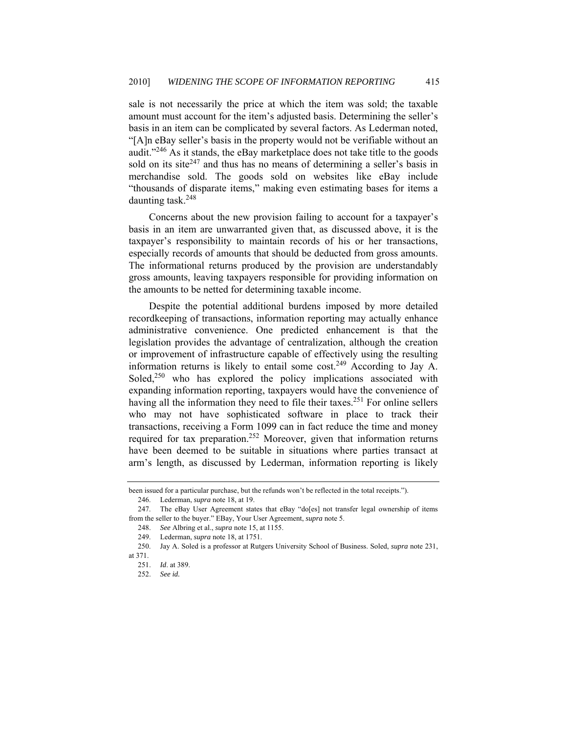sale is not necessarily the price at which the item was sold; the taxable amount must account for the item's adjusted basis. Determining the seller's basis in an item can be complicated by several factors. As Lederman noted, "[A]n eBay seller's basis in the property would not be verifiable without an audit."246 As it stands, the eBay marketplace does not take title to the goods sold on its site $247$  and thus has no means of determining a seller's basis in merchandise sold. The goods sold on websites like eBay include "thousands of disparate items," making even estimating bases for items a daunting task.<sup>248</sup>

Concerns about the new provision failing to account for a taxpayer's basis in an item are unwarranted given that, as discussed above, it is the taxpayer's responsibility to maintain records of his or her transactions, especially records of amounts that should be deducted from gross amounts. The informational returns produced by the provision are understandably gross amounts, leaving taxpayers responsible for providing information on the amounts to be netted for determining taxable income.

Despite the potential additional burdens imposed by more detailed recordkeeping of transactions, information reporting may actually enhance administrative convenience. One predicted enhancement is that the legislation provides the advantage of centralization, although the creation or improvement of infrastructure capable of effectively using the resulting information returns is likely to entail some cost.<sup>249</sup> According to Jay A. Soled, $250$  who has explored the policy implications associated with expanding information reporting, taxpayers would have the convenience of having all the information they need to file their taxes.<sup>251</sup> For online sellers who may not have sophisticated software in place to track their transactions, receiving a Form 1099 can in fact reduce the time and money required for tax preparation.<sup>252</sup> Moreover, given that information returns have been deemed to be suitable in situations where parties transact at arm's length, as discussed by Lederman, information reporting is likely

been issued for a particular purchase, but the refunds won't be reflected in the total receipts."). 246. Lederman, *supra* note 18, at 19.

 <sup>247.</sup> The eBay User Agreement states that eBay "do[es] not transfer legal ownership of items from the seller to the buyer." EBay, Your User Agreement, *supra* note 5.

 <sup>248.</sup> *See* Albring et al., *supra* note 15, at 1155.

 <sup>249.</sup> Lederman, *supra* note 18, at 1751.

 <sup>250.</sup> Jay A. Soled is a professor at Rutgers University School of Business. Soled, *supra* note 231,

at 371.

 <sup>251.</sup> *Id*. at 389.

 <sup>252.</sup> *See id.*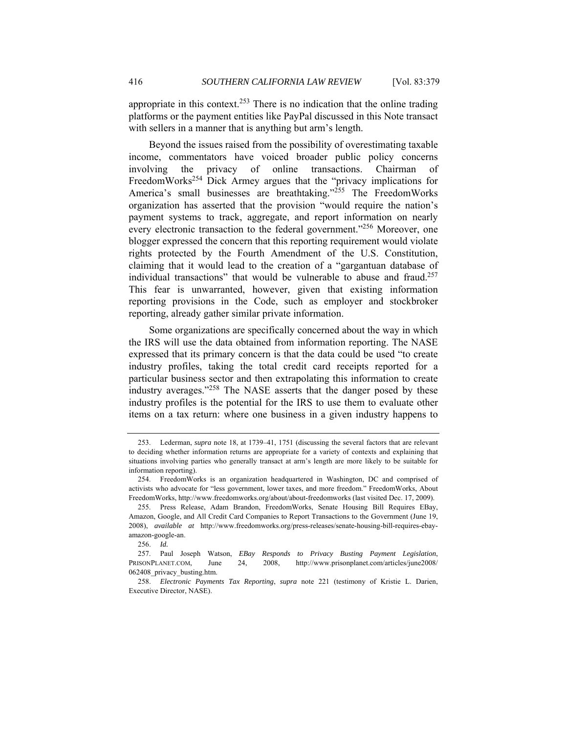appropriate in this context.<sup>253</sup> There is no indication that the online trading platforms or the payment entities like PayPal discussed in this Note transact with sellers in a manner that is anything but arm's length.

Beyond the issues raised from the possibility of overestimating taxable income, commentators have voiced broader public policy concerns involving the privacy of online transactions. Chairman of FreedomWorks<sup>254</sup> Dick Armey argues that the "privacy implications for America's small businesses are breathtaking."<sup>255</sup> The FreedomWorks organization has asserted that the provision "would require the nation's payment systems to track, aggregate, and report information on nearly every electronic transaction to the federal government."<sup>256</sup> Moreover, one blogger expressed the concern that this reporting requirement would violate rights protected by the Fourth Amendment of the U.S. Constitution, claiming that it would lead to the creation of a "gargantuan database of individual transactions" that would be vulnerable to abuse and fraud.<sup>257</sup> This fear is unwarranted, however, given that existing information reporting provisions in the Code, such as employer and stockbroker reporting, already gather similar private information.

Some organizations are specifically concerned about the way in which the IRS will use the data obtained from information reporting. The NASE expressed that its primary concern is that the data could be used "to create industry profiles, taking the total credit card receipts reported for a particular business sector and then extrapolating this information to create industry averages."258 The NASE asserts that the danger posed by these industry profiles is the potential for the IRS to use them to evaluate other items on a tax return: where one business in a given industry happens to

 <sup>253.</sup> Lederman, *supra* note 18, at 1739–41, 1751 (discussing the several factors that are relevant to deciding whether information returns are appropriate for a variety of contexts and explaining that situations involving parties who generally transact at arm's length are more likely to be suitable for information reporting).

 <sup>254.</sup> FreedomWorks is an organization headquartered in Washington, DC and comprised of activists who advocate for "less government, lower taxes, and more freedom." FreedomWorks, About FreedomWorks, http://www.freedomworks.org/about/about-freedomworks (last visited Dec. 17, 2009).

 <sup>255.</sup> Press Release, Adam Brandon, FreedomWorks, Senate Housing Bill Requires EBay, Amazon, Google, and All Credit Card Companies to Report Transactions to the Government (June 19, 2008), *available at* http://www.freedomworks.org/press-releases/senate-housing-bill-requires-ebayamazon-google-an.

 <sup>256.</sup> *Id.*

 <sup>257.</sup> Paul Joseph Watson, *EBay Responds to Privacy Busting Payment Legislation*, PRISONPLANET.COM, June 24, 2008, http://www.prisonplanet.com/articles/june2008/ 062408 privacy busting.htm.

 <sup>258.</sup> *Electronic Payments Tax Reporting*, *supra* note 221 (testimony of Kristie L. Darien, Executive Director, NASE).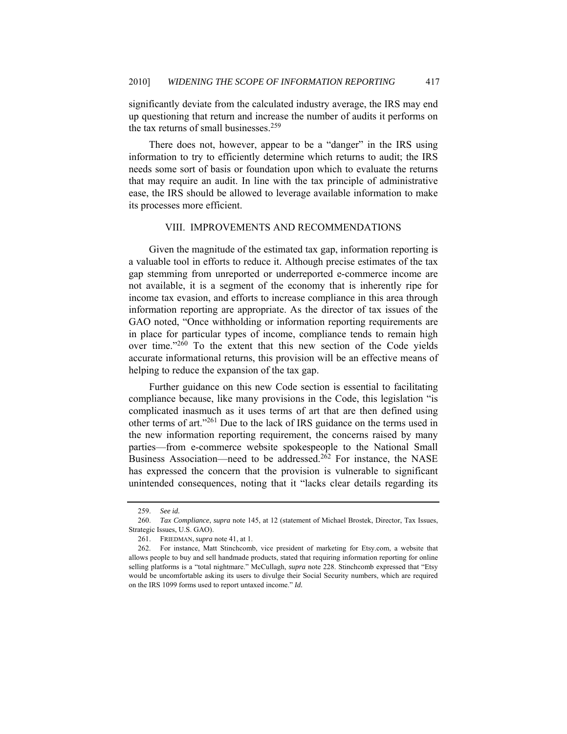significantly deviate from the calculated industry average, the IRS may end up questioning that return and increase the number of audits it performs on the tax returns of small businesses.<sup>259</sup>

There does not, however, appear to be a "danger" in the IRS using information to try to efficiently determine which returns to audit; the IRS needs some sort of basis or foundation upon which to evaluate the returns that may require an audit. In line with the tax principle of administrative ease, the IRS should be allowed to leverage available information to make its processes more efficient.

#### VIII. IMPROVEMENTS AND RECOMMENDATIONS

Given the magnitude of the estimated tax gap, information reporting is a valuable tool in efforts to reduce it. Although precise estimates of the tax gap stemming from unreported or underreported e-commerce income are not available, it is a segment of the economy that is inherently ripe for income tax evasion, and efforts to increase compliance in this area through information reporting are appropriate. As the director of tax issues of the GAO noted, "Once withholding or information reporting requirements are in place for particular types of income, compliance tends to remain high over time."260 To the extent that this new section of the Code yields accurate informational returns, this provision will be an effective means of helping to reduce the expansion of the tax gap.

Further guidance on this new Code section is essential to facilitating compliance because, like many provisions in the Code, this legislation "is complicated inasmuch as it uses terms of art that are then defined using other terms of art."261 Due to the lack of IRS guidance on the terms used in the new information reporting requirement, the concerns raised by many parties—from e-commerce website spokespeople to the National Small Business Association—need to be addressed.<sup>262</sup> For instance, the NASE has expressed the concern that the provision is vulnerable to significant unintended consequences, noting that it "lacks clear details regarding its

 <sup>259.</sup> *See id.* 

 <sup>260.</sup> *Tax Compliance*, *supra* note 145, at 12 (statement of Michael Brostek, Director, Tax Issues, Strategic Issues, U.S. GAO).

 <sup>261.</sup> FRIEDMAN, *supra* note 41, at 1.

 <sup>262.</sup> For instance, Matt Stinchcomb, vice president of marketing for Etsy.com, a website that allows people to buy and sell handmade products, stated that requiring information reporting for online selling platforms is a "total nightmare." McCullagh, *supra* note 228. Stinchcomb expressed that "Etsy would be uncomfortable asking its users to divulge their Social Security numbers, which are required on the IRS 1099 forms used to report untaxed income." *Id.*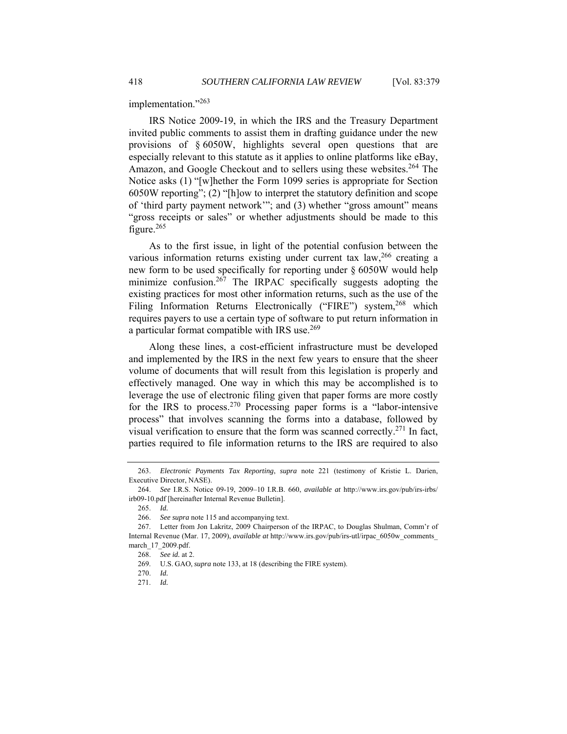implementation."263

IRS Notice 2009-19, in which the IRS and the Treasury Department invited public comments to assist them in drafting guidance under the new provisions of § 6050W, highlights several open questions that are especially relevant to this statute as it applies to online platforms like eBay, Amazon, and Google Checkout and to sellers using these websites.<sup>264</sup> The Notice asks (1) "[w]hether the Form 1099 series is appropriate for Section 6050W reporting"; (2) "[h]ow to interpret the statutory definition and scope of 'third party payment network'"; and (3) whether "gross amount" means "gross receipts or sales" or whether adjustments should be made to this figure.<sup>265</sup>

As to the first issue, in light of the potential confusion between the various information returns existing under current tax law,<sup>266</sup> creating a new form to be used specifically for reporting under § 6050W would help minimize confusion.<sup>267</sup> The IRPAC specifically suggests adopting the existing practices for most other information returns, such as the use of the Filing Information Returns Electronically ("FIRE") system,<sup>268</sup> which requires payers to use a certain type of software to put return information in a particular format compatible with IRS use.<sup>269</sup>

Along these lines, a cost-efficient infrastructure must be developed and implemented by the IRS in the next few years to ensure that the sheer volume of documents that will result from this legislation is properly and effectively managed. One way in which this may be accomplished is to leverage the use of electronic filing given that paper forms are more costly for the IRS to process.<sup>270</sup> Processing paper forms is a "labor-intensive" process" that involves scanning the forms into a database, followed by visual verification to ensure that the form was scanned correctly.<sup>271</sup> In fact, parties required to file information returns to the IRS are required to also

 <sup>263.</sup> *Electronic Payments Tax Reporting*, *supra* note 221 (testimony of Kristie L. Darien, Executive Director, NASE).

 <sup>264.</sup> *See* I.R.S. Notice 09-19, 2009–10 I.R.B. 660, *available at* http://www.irs.gov/pub/irs-irbs/ irb09-10.pdf [hereinafter Internal Revenue Bulletin].

 <sup>265.</sup> *Id.*

 <sup>266.</sup> *See supra* note 115 and accompanying text.

 <sup>267.</sup> Letter from Jon Lakritz, 2009 Chairperson of the IRPAC, to Douglas Shulman, Comm'r of Internal Revenue (Mar. 17, 2009), *available at* http://www.irs.gov/pub/irs-utl/irpac\_6050w\_comments\_ march\_17\_2009.pdf.

 <sup>268.</sup> *See id.* at 2.

 <sup>269.</sup> U.S. GAO, *supra* note 133, at 18 (describing the FIRE system).

<sup>270.</sup> *Id.*

 <sup>271.</sup> *Id.*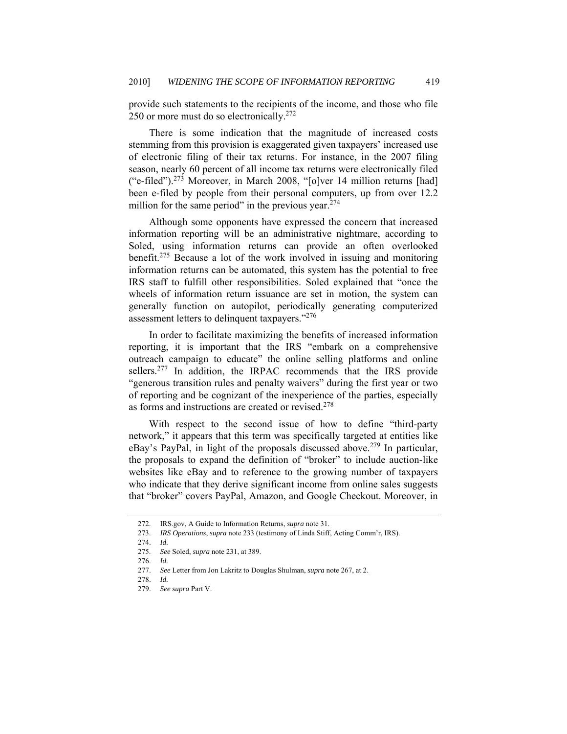provide such statements to the recipients of the income, and those who file 250 or more must do so electronically.<sup>272</sup>

There is some indication that the magnitude of increased costs stemming from this provision is exaggerated given taxpayers' increased use of electronic filing of their tax returns. For instance, in the 2007 filing season, nearly 60 percent of all income tax returns were electronically filed ("e-filed").273 Moreover, in March 2008, "[o]ver 14 million returns [had] been e-filed by people from their personal computers, up from over 12.2 million for the same period" in the previous year. $274$ 

Although some opponents have expressed the concern that increased information reporting will be an administrative nightmare, according to Soled, using information returns can provide an often overlooked benefit.275 Because a lot of the work involved in issuing and monitoring information returns can be automated, this system has the potential to free IRS staff to fulfill other responsibilities. Soled explained that "once the wheels of information return issuance are set in motion, the system can generally function on autopilot, periodically generating computerized assessment letters to delinquent taxpayers."<sup>276</sup>

In order to facilitate maximizing the benefits of increased information reporting, it is important that the IRS "embark on a comprehensive outreach campaign to educate" the online selling platforms and online sellers.<sup>277</sup> In addition, the IRPAC recommends that the IRS provide "generous transition rules and penalty waivers" during the first year or two of reporting and be cognizant of the inexperience of the parties, especially as forms and instructions are created or revised.<sup>278</sup>

With respect to the second issue of how to define "third-party network," it appears that this term was specifically targeted at entities like eBay's PayPal, in light of the proposals discussed above.<sup>279</sup> In particular, the proposals to expand the definition of "broker" to include auction-like websites like eBay and to reference to the growing number of taxpayers who indicate that they derive significant income from online sales suggests that "broker" covers PayPal, Amazon, and Google Checkout. Moreover, in

 <sup>272.</sup> IRS.gov, A Guide to Information Returns, *supra* note 31.

 <sup>273.</sup> *IRS Operations*, *supra* note 233 (testimony of Linda Stiff, Acting Comm'r, IRS).

<sup>274.</sup> *Id.*

 <sup>275.</sup> *See* Soled, *supra* note 231, at 389.

 <sup>276.</sup> *Id.*

 <sup>277.</sup> *See* Letter from Jon Lakritz to Douglas Shulman, *supra* note 267, at 2.

 <sup>278.</sup> *Id.*

 <sup>279.</sup> *See supra* Part V.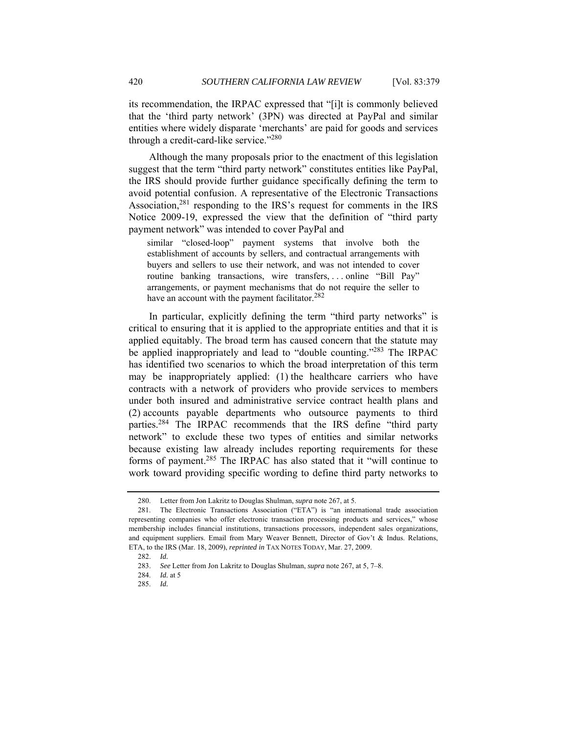its recommendation, the IRPAC expressed that "[i]t is commonly believed that the 'third party network' (3PN) was directed at PayPal and similar entities where widely disparate 'merchants' are paid for goods and services through a credit-card-like service."<sup>280</sup>

Although the many proposals prior to the enactment of this legislation suggest that the term "third party network" constitutes entities like PayPal, the IRS should provide further guidance specifically defining the term to avoid potential confusion. A representative of the Electronic Transactions Association,<sup>281</sup> responding to the IRS's request for comments in the IRS Notice 2009-19, expressed the view that the definition of "third party payment network" was intended to cover PayPal and

similar "closed-loop" payment systems that involve both the establishment of accounts by sellers, and contractual arrangements with buyers and sellers to use their network, and was not intended to cover routine banking transactions, wire transfers, . . . online "Bill Pay" arrangements, or payment mechanisms that do not require the seller to have an account with the payment facilitator.<sup>282</sup>

In particular, explicitly defining the term "third party networks" is critical to ensuring that it is applied to the appropriate entities and that it is applied equitably. The broad term has caused concern that the statute may be applied inappropriately and lead to "double counting."<sup>283</sup> The IRPAC has identified two scenarios to which the broad interpretation of this term may be inappropriately applied: (1) the healthcare carriers who have contracts with a network of providers who provide services to members under both insured and administrative service contract health plans and (2) accounts payable departments who outsource payments to third parties.284 The IRPAC recommends that the IRS define "third party network" to exclude these two types of entities and similar networks because existing law already includes reporting requirements for these forms of payment.285 The IRPAC has also stated that it "will continue to work toward providing specific wording to define third party networks to

 <sup>280.</sup> Letter from Jon Lakritz to Douglas Shulman, *supra* note 267, at 5.

 <sup>281.</sup> The Electronic Transactions Association ("ETA") is "an international trade association representing companies who offer electronic transaction processing products and services," whose membership includes financial institutions, transactions processors, independent sales organizations, and equipment suppliers. Email from Mary Weaver Bennett, Director of Gov't & Indus. Relations, ETA, to the IRS (Mar. 18, 2009), *reprinted in* TAX NOTES TODAY, Mar. 27, 2009.

<sup>282.</sup> *Id.*

<sup>283.</sup> *See* Letter from Jon Lakritz to Douglas Shulman, *supra* note 267, at 5, 7–8.

<sup>284.</sup> *Id.* at 5

 <sup>285.</sup> *Id.*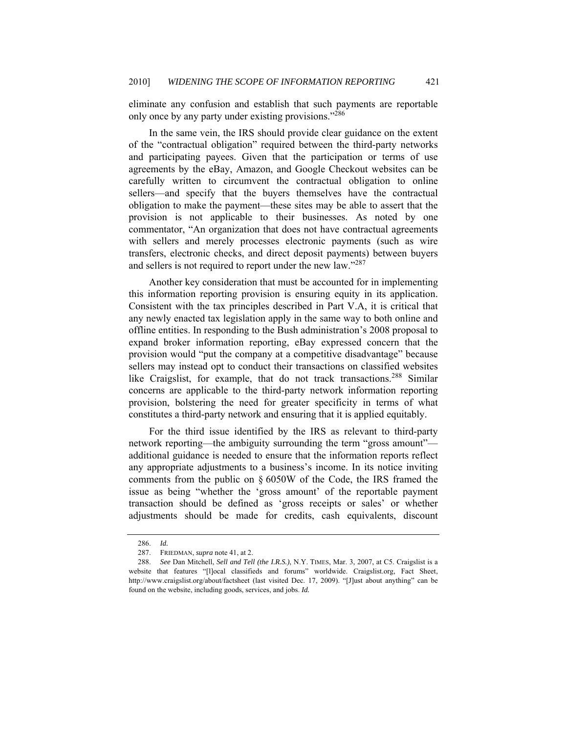eliminate any confusion and establish that such payments are reportable only once by any party under existing provisions."286

In the same vein, the IRS should provide clear guidance on the extent of the "contractual obligation" required between the third-party networks and participating payees. Given that the participation or terms of use agreements by the eBay, Amazon, and Google Checkout websites can be carefully written to circumvent the contractual obligation to online sellers—and specify that the buyers themselves have the contractual obligation to make the payment—these sites may be able to assert that the provision is not applicable to their businesses. As noted by one commentator, "An organization that does not have contractual agreements with sellers and merely processes electronic payments (such as wire transfers, electronic checks, and direct deposit payments) between buyers and sellers is not required to report under the new law."<sup>287</sup>

Another key consideration that must be accounted for in implementing this information reporting provision is ensuring equity in its application. Consistent with the tax principles described in Part V.A, it is critical that any newly enacted tax legislation apply in the same way to both online and offline entities. In responding to the Bush administration's 2008 proposal to expand broker information reporting, eBay expressed concern that the provision would "put the company at a competitive disadvantage" because sellers may instead opt to conduct their transactions on classified websites like Craigslist, for example, that do not track transactions.<sup>288</sup> Similar concerns are applicable to the third-party network information reporting provision, bolstering the need for greater specificity in terms of what constitutes a third-party network and ensuring that it is applied equitably.

For the third issue identified by the IRS as relevant to third-party network reporting—the ambiguity surrounding the term "gross amount" additional guidance is needed to ensure that the information reports reflect any appropriate adjustments to a business's income. In its notice inviting comments from the public on § 6050W of the Code, the IRS framed the issue as being "whether the 'gross amount' of the reportable payment transaction should be defined as 'gross receipts or sales' or whether adjustments should be made for credits, cash equivalents, discount

 <sup>286.</sup> *Id.*

 <sup>287.</sup> FRIEDMAN, *supra* note 41, at 2.

 <sup>288.</sup> *See* Dan Mitchell, *Sell and Tell (the I.R.S.)*, N.Y. TIMES, Mar. 3, 2007, at C5. Craigslist is a website that features "[l]ocal classifieds and forums" worldwide. Craigslist.org, Fact Sheet, http://www.craigslist.org/about/factsheet (last visited Dec. 17, 2009). "[J]ust about anything" can be found on the website, including goods, services, and jobs. *Id.*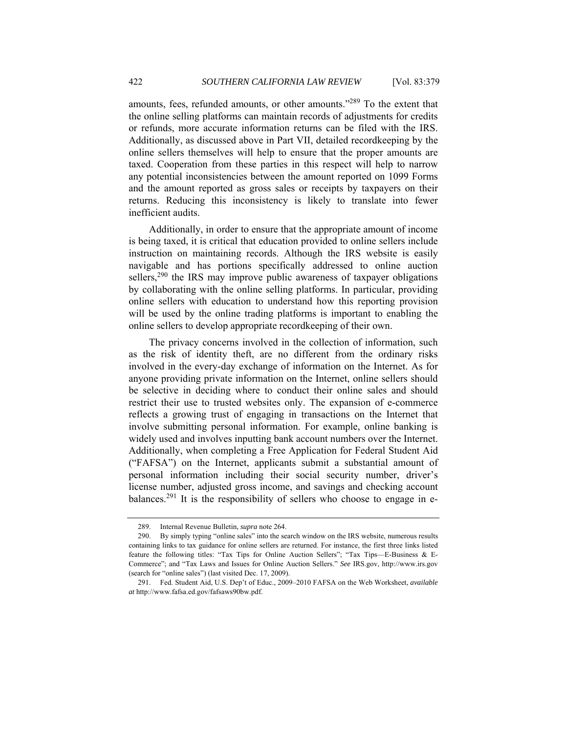amounts, fees, refunded amounts, or other amounts."<sup>289</sup> To the extent that the online selling platforms can maintain records of adjustments for credits or refunds, more accurate information returns can be filed with the IRS. Additionally, as discussed above in Part VII, detailed recordkeeping by the online sellers themselves will help to ensure that the proper amounts are taxed. Cooperation from these parties in this respect will help to narrow any potential inconsistencies between the amount reported on 1099 Forms and the amount reported as gross sales or receipts by taxpayers on their returns. Reducing this inconsistency is likely to translate into fewer inefficient audits.

Additionally, in order to ensure that the appropriate amount of income is being taxed, it is critical that education provided to online sellers include instruction on maintaining records. Although the IRS website is easily navigable and has portions specifically addressed to online auction sellers,<sup>290</sup> the IRS may improve public awareness of taxpayer obligations by collaborating with the online selling platforms. In particular, providing online sellers with education to understand how this reporting provision will be used by the online trading platforms is important to enabling the online sellers to develop appropriate recordkeeping of their own.

The privacy concerns involved in the collection of information, such as the risk of identity theft, are no different from the ordinary risks involved in the every-day exchange of information on the Internet. As for anyone providing private information on the Internet, online sellers should be selective in deciding where to conduct their online sales and should restrict their use to trusted websites only. The expansion of e-commerce reflects a growing trust of engaging in transactions on the Internet that involve submitting personal information. For example, online banking is widely used and involves inputting bank account numbers over the Internet. Additionally, when completing a Free Application for Federal Student Aid ("FAFSA") on the Internet, applicants submit a substantial amount of personal information including their social security number, driver's license number, adjusted gross income, and savings and checking account balances.<sup>291</sup> It is the responsibility of sellers who choose to engage in e-

 <sup>289.</sup> Internal Revenue Bulletin, *supra* note 264.

 <sup>290.</sup> By simply typing "online sales" into the search window on the IRS website, numerous results containing links to tax guidance for online sellers are returned. For instance, the first three links listed feature the following titles: "Tax Tips for Online Auction Sellers"; "Tax Tips—E-Business & E-Commerce"; and "Tax Laws and Issues for Online Auction Sellers." *See* IRS.gov, http://www.irs.gov (search for "online sales") (last visited Dec. 17, 2009).

 <sup>291.</sup> Fed. Student Aid, U.S. Dep't of Educ., 2009–2010 FAFSA on the Web Worksheet, *available at* http://www.fafsa.ed.gov/fafsaws90bw.pdf.